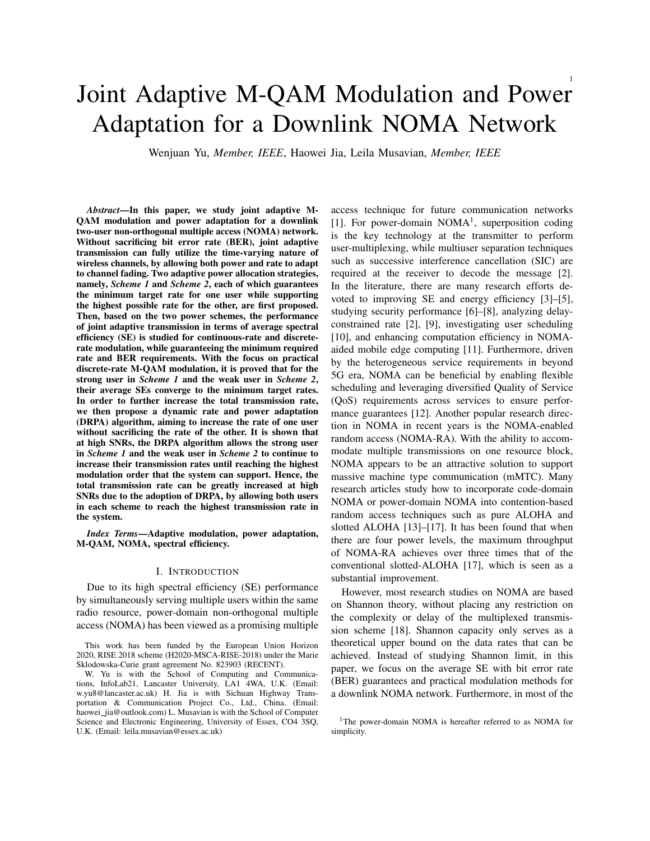# Joint Adaptive M-QAM Modulation and Power Adaptation for a Downlink NOMA Network

Wenjuan Yu, *Member, IEEE*, Haowei Jia, Leila Musavian, *Member, IEEE*

*Abstract*—In this paper, we study joint adaptive M-QAM modulation and power adaptation for a downlink two-user non-orthogonal multiple access (NOMA) network. Without sacrificing bit error rate (BER), joint adaptive transmission can fully utilize the time-varying nature of wireless channels, by allowing both power and rate to adapt to channel fading. Two adaptive power allocation strategies, namely, *Scheme 1* and *Scheme 2*, each of which guarantees the minimum target rate for one user while supporting the highest possible rate for the other, are first proposed. Then, based on the two power schemes, the performance of joint adaptive transmission in terms of average spectral efficiency (SE) is studied for continuous-rate and discreterate modulation, while guaranteeing the minimum required rate and BER requirements. With the focus on practical discrete-rate M-QAM modulation, it is proved that for the strong user in *Scheme 1* and the weak user in *Scheme 2*, their average SEs converge to the minimum target rates. In order to further increase the total transmission rate, we then propose a dynamic rate and power adaptation (DRPA) algorithm, aiming to increase the rate of one user without sacrificing the rate of the other. It is shown that at high SNRs, the DRPA algorithm allows the strong user in *Scheme 1* and the weak user in *Scheme 2* to continue to increase their transmission rates until reaching the highest modulation order that the system can support. Hence, the total transmission rate can be greatly increased at high SNRs due to the adoption of DRPA, by allowing both users in each scheme to reach the highest transmission rate in the system.

*Index Terms*—Adaptive modulation, power adaptation, M-QAM, NOMA, spectral efficiency.

# I. INTRODUCTION

Due to its high spectral efficiency (SE) performance by simultaneously serving multiple users within the same radio resource, power-domain non-orthogonal multiple access (NOMA) has been viewed as a promising multiple access technique for future communication networks [1]. For power-domain NOMA<sup>1</sup>, superposition coding is the key technology at the transmitter to perform user-multiplexing, while multiuser separation techniques such as successive interference cancellation (SIC) are required at the receiver to decode the message [2]. In the literature, there are many research efforts devoted to improving SE and energy efficiency [3]–[5], studying security performance [6]–[8], analyzing delayconstrained rate [2], [9], investigating user scheduling [10], and enhancing computation efficiency in NOMAaided mobile edge computing [11]. Furthermore, driven by the heterogeneous service requirements in beyond 5G era, NOMA can be beneficial by enabling flexible scheduling and leveraging diversified Quality of Service (QoS) requirements across services to ensure performance guarantees [12]. Another popular research direction in NOMA in recent years is the NOMA-enabled random access (NOMA-RA). With the ability to accommodate multiple transmissions on one resource block, NOMA appears to be an attractive solution to support massive machine type communication (mMTC). Many research articles study how to incorporate code-domain NOMA or power-domain NOMA into contention-based random access techniques such as pure ALOHA and slotted ALOHA [13]–[17]. It has been found that when there are four power levels, the maximum throughput of NOMA-RA achieves over three times that of the conventional slotted-ALOHA [17], which is seen as a substantial improvement.

However, most research studies on NOMA are based on Shannon theory, without placing any restriction on the complexity or delay of the multiplexed transmission scheme [18]. Shannon capacity only serves as a theoretical upper bound on the data rates that can be achieved. Instead of studying Shannon limit, in this paper, we focus on the average SE with bit error rate (BER) guarantees and practical modulation methods for a downlink NOMA network. Furthermore, in most of the

This work has been funded by the European Union Horizon 2020, RISE 2018 scheme (H2020-MSCA-RISE-2018) under the Marie Sklodowska-Curie grant agreement No. 823903 (RECENT).

W. Yu is with the School of Computing and Communications, InfoLab21, Lancaster University, LA1 4WA, U.K. (Email: w.yu8@lancaster.ac.uk) H. Jia is with Sichuan Highway Transportation & Communication Project Co., Ltd., China. (Email: haowei\_jia@outlook.com) L. Musavian is with the School of Computer Science and Electronic Engineering, University of Essex, CO4 3SQ, U.K. (Email: leila.musavian@essex.ac.uk)

<sup>&</sup>lt;sup>1</sup>The power-domain NOMA is hereafter referred to as NOMA for simplicity.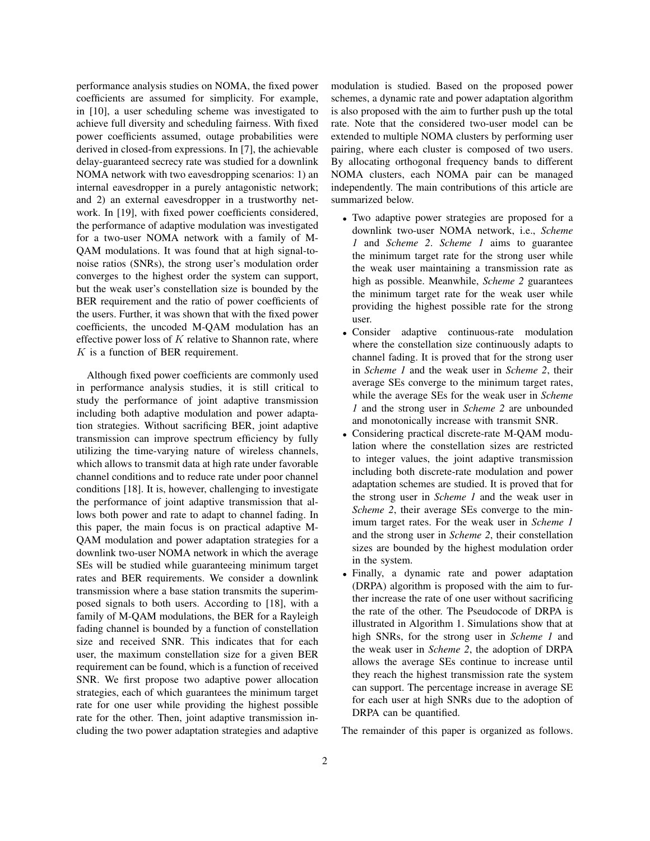performance analysis studies on NOMA, the fixed power coefficients are assumed for simplicity. For example, in [10], a user scheduling scheme was investigated to achieve full diversity and scheduling fairness. With fixed power coefficients assumed, outage probabilities were derived in closed-from expressions. In [7], the achievable delay-guaranteed secrecy rate was studied for a downlink NOMA network with two eavesdropping scenarios: 1) an internal eavesdropper in a purely antagonistic network; and 2) an external eavesdropper in a trustworthy network. In [19], with fixed power coefficients considered, the performance of adaptive modulation was investigated for a two-user NOMA network with a family of M-QAM modulations. It was found that at high signal-tonoise ratios (SNRs), the strong user's modulation order converges to the highest order the system can support, but the weak user's constellation size is bounded by the BER requirement and the ratio of power coefficients of the users. Further, it was shown that with the fixed power coefficients, the uncoded M-QAM modulation has an effective power loss of  $K$  relative to Shannon rate, where K is a function of BER requirement.

Although fixed power coefficients are commonly used in performance analysis studies, it is still critical to study the performance of joint adaptive transmission including both adaptive modulation and power adaptation strategies. Without sacrificing BER, joint adaptive transmission can improve spectrum efficiency by fully utilizing the time-varying nature of wireless channels, which allows to transmit data at high rate under favorable channel conditions and to reduce rate under poor channel conditions [18]. It is, however, challenging to investigate the performance of joint adaptive transmission that allows both power and rate to adapt to channel fading. In this paper, the main focus is on practical adaptive M-QAM modulation and power adaptation strategies for a downlink two-user NOMA network in which the average SEs will be studied while guaranteeing minimum target rates and BER requirements. We consider a downlink transmission where a base station transmits the superimposed signals to both users. According to [18], with a family of M-QAM modulations, the BER for a Rayleigh fading channel is bounded by a function of constellation size and received SNR. This indicates that for each user, the maximum constellation size for a given BER requirement can be found, which is a function of received SNR. We first propose two adaptive power allocation strategies, each of which guarantees the minimum target rate for one user while providing the highest possible rate for the other. Then, joint adaptive transmission including the two power adaptation strategies and adaptive modulation is studied. Based on the proposed power schemes, a dynamic rate and power adaptation algorithm is also proposed with the aim to further push up the total rate. Note that the considered two-user model can be extended to multiple NOMA clusters by performing user pairing, where each cluster is composed of two users. By allocating orthogonal frequency bands to different NOMA clusters, each NOMA pair can be managed independently. The main contributions of this article are summarized below.

- Two adaptive power strategies are proposed for a downlink two-user NOMA network, i.e., *Scheme 1* and *Scheme 2*. *Scheme 1* aims to guarantee the minimum target rate for the strong user while the weak user maintaining a transmission rate as high as possible. Meanwhile, *Scheme 2* guarantees the minimum target rate for the weak user while providing the highest possible rate for the strong user.
- Consider adaptive continuous-rate modulation where the constellation size continuously adapts to channel fading. It is proved that for the strong user in *Scheme 1* and the weak user in *Scheme 2*, their average SEs converge to the minimum target rates, while the average SEs for the weak user in *Scheme 1* and the strong user in *Scheme 2* are unbounded and monotonically increase with transmit SNR.
- Considering practical discrete-rate M-QAM modulation where the constellation sizes are restricted to integer values, the joint adaptive transmission including both discrete-rate modulation and power adaptation schemes are studied. It is proved that for the strong user in *Scheme 1* and the weak user in *Scheme 2*, their average SEs converge to the minimum target rates. For the weak user in *Scheme 1* and the strong user in *Scheme 2*, their constellation sizes are bounded by the highest modulation order in the system.
- Finally, a dynamic rate and power adaptation (DRPA) algorithm is proposed with the aim to further increase the rate of one user without sacrificing the rate of the other. The Pseudocode of DRPA is illustrated in Algorithm 1. Simulations show that at high SNRs, for the strong user in *Scheme 1* and the weak user in *Scheme 2*, the adoption of DRPA allows the average SEs continue to increase until they reach the highest transmission rate the system can support. The percentage increase in average SE for each user at high SNRs due to the adoption of DRPA can be quantified.

The remainder of this paper is organized as follows.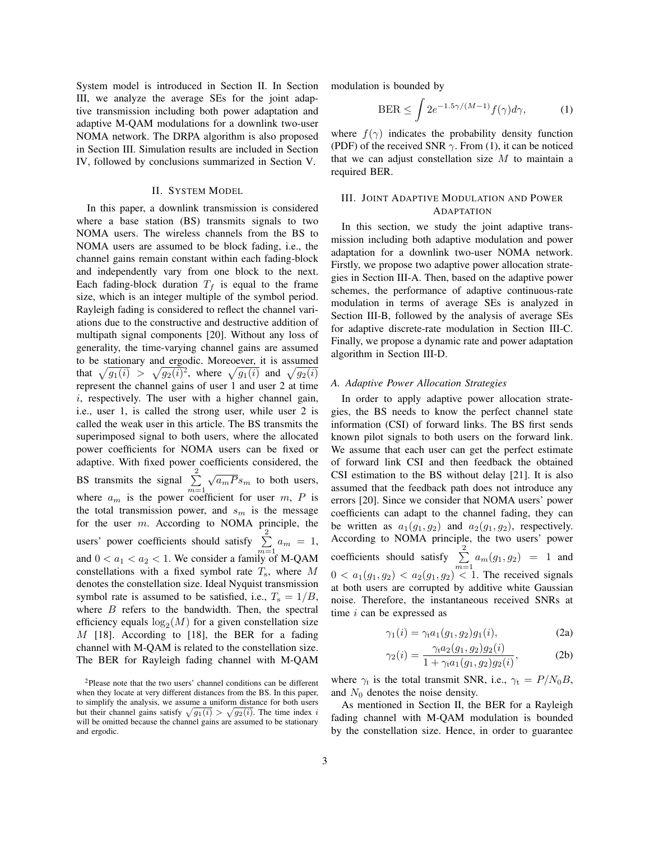System model is introduced in Section II. In Section III, we analyze the average SEs for the joint adaptive transmission including both power adaptation and adaptive M-QAM modulations for a downlink two-user NOMA network. The DRPA algorithm is also proposed in Section III. Simulation results are included in Section IV, followed by conclusions summarized in Section V.

# II. SYSTEM MODEL

In this paper, a downlink transmission is considered where a base station (BS) transmits signals to two NOMA users. The wireless channels from the BS to NOMA users are assumed to be block fading, i.e., the channel gains remain constant within each fading-block and independently vary from one block to the next. Each fading-block duration  $T_f$  is equal to the frame size, which is an integer multiple of the symbol period. Rayleigh fading is considered to reflect the channel variations due to the constructive and destructive addition of multipath signal components [20]. Without any loss of generality, the time-varying channel gains are assumed to be stationary and ergodic. Moreoever, it is assumed that  $\sqrt{g_1(i)} > \sqrt{g_2(i)^2}$ , where  $\sqrt{g_1(i)}$  and  $\sqrt{g_2(i)}$ represent the channel gains of user 1 and user 2 at time  $i$ , respectively. The user with a higher channel gain, i.e., user 1, is called the strong user, while user 2 is called the weak user in this article. The BS transmits the superimposed signal to both users, where the allocated power coefficients for NOMA users can be fixed or adaptive. With fixed power coefficients considered, the BS transmits the signal  $\sum_{n=1}^{\infty}$  $m=1$  $\sqrt{a_m P} s_m$  to both users, where  $a_m$  is the power coefficient for user m, P is the total transmission power, and  $s_m$  is the message for the user m. According to NOMA principle, the users' power coefficients should satisfy  $\sum_{ }^{2}$  $\sum_{m=1}^{\ } a_m = 1,$ and  $0 < a_1 < a_2 < 1$ . We consider a family of M-QAM constellations with a fixed symbol rate  $T_s$ , where M denotes the constellation size. Ideal Nyquist transmission symbol rate is assumed to be satisfied, i.e.,  $T_s = 1/B$ , where  $B$  refers to the bandwidth. Then, the spectral efficiency equals  $log_2(M)$  for a given constellation size M [18]. According to [18], the BER for a fading channel with M-QAM is related to the constellation size. The BER for Rayleigh fading channel with M-QAM modulation is bounded by

$$
\text{BER} \le \int 2e^{-1.5\gamma/(M-1)} f(\gamma) d\gamma,\tag{1}
$$

where  $f(\gamma)$  indicates the probability density function (PDF) of the received SNR  $\gamma$ . From (1), it can be noticed that we can adjust constellation size  $M$  to maintain a required BER.

# III. JOINT ADAPTIVE MODULATION AND POWER ADAPTATION

In this section, we study the joint adaptive transmission including both adaptive modulation and power adaptation for a downlink two-user NOMA network. Firstly, we propose two adaptive power allocation strategies in Section III-A. Then, based on the adaptive power schemes, the performance of adaptive continuous-rate modulation in terms of average SEs is analyzed in Section III-B, followed by the analysis of average SEs for adaptive discrete-rate modulation in Section III-C. Finally, we propose a dynamic rate and power adaptation algorithm in Section III-D.

# *A. Adaptive Power Allocation Strategies*

In order to apply adaptive power allocation strategies, the BS needs to know the perfect channel state information (CSI) of forward links. The BS first sends known pilot signals to both users on the forward link. We assume that each user can get the perfect estimate of forward link CSI and then feedback the obtained CSI estimation to the BS without delay [21]. It is also assumed that the feedback path does not introduce any errors [20]. Since we consider that NOMA users' power coefficients can adapt to the channel fading, they can be written as  $a_1(g_1, g_2)$  and  $a_2(g_1, g_2)$ , respectively. According to NOMA principle, the two users' power coefficients should satisfy  $\sum_{ }^{2}$  $\sum_{m=1} a_m(g_1, g_2) = 1$  and  $0 < a_1(g_1, g_2) < a_2(g_1, g_2) < 1$ . The received signals at both users are corrupted by additive white Gaussian noise. Therefore, the instantaneous received SNRs at time  $i$  can be expressed as

$$
\gamma_1(i) = \gamma_1 a_1(g_1, g_2) g_1(i), \tag{2a}
$$

$$
\gamma_2(i) = \frac{\gamma_1 a_2(g_1, g_2) g_2(i)}{1 + \gamma_1 a_1(g_1, g_2) g_2(i)},
$$
 (2b)

where  $\gamma_t$  is the total transmit SNR, i.e.,  $\gamma_t = P/N_0B$ , and  $N_0$  denotes the noise density.

As mentioned in Section II, the BER for a Rayleigh fading channel with M-QAM modulation is bounded by the constellation size. Hence, in order to guarantee

<sup>2</sup>Please note that the two users' channel conditions can be different when they locate at very different distances from the BS. In this paper, to simplify the analysis, we assume a uniform distance for both users but their channel gains satisfy  $\sqrt{g_1(i)} > \sqrt{g_2(i)}$ . The time index i will be omitted because the channel gains are assumed to be stationary and ergodic.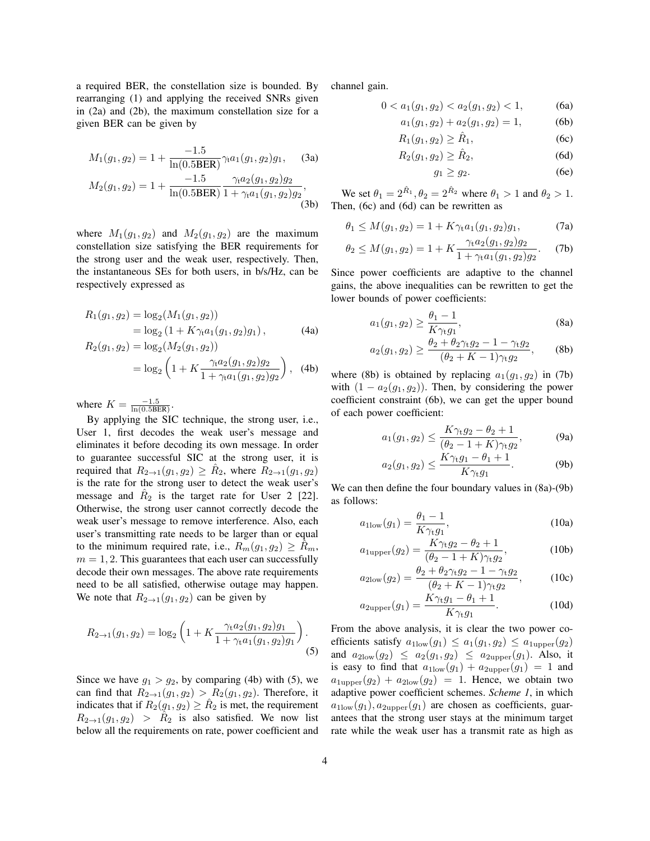a required BER, the constellation size is bounded. By rearranging (1) and applying the received SNRs given in (2a) and (2b), the maximum constellation size for a given BER can be given by

$$
M_1(g_1, g_2) = 1 + \frac{-1.5}{\ln(0.5BER)} \gamma_t a_1(g_1, g_2) g_1,
$$
 (3a)  

$$
M_2(g_1, g_2) = 1 + \frac{-1.5}{\ln(0.5BER)} \frac{\gamma_t a_2(g_1, g_2) g_2}{1 + \gamma_t a_1(g_1, g_2) g_2},
$$
 (3b)

where  $M_1(g_1, g_2)$  and  $M_2(g_1, g_2)$  are the maximum constellation size satisfying the BER requirements for the strong user and the weak user, respectively. Then, the instantaneous SEs for both users, in b/s/Hz, can be respectively expressed as

$$
R_1(g_1, g_2) = \log_2(M_1(g_1, g_2))
$$
  
=  $\log_2(1 + K\gamma_1 a_1(g_1, g_2)g_1),$  (4a)

$$
R_2(g_1, g_2) = \log_2(M_2(g_1, g_2))
$$
  
= 
$$
\log_2 \left( 1 + K \frac{\gamma_1 a_2(g_1, g_2) g_2}{1 + \gamma_1 a_1(g_1, g_2) g_2} \right),
$$
 (4b)

where  $K = \frac{-1.5}{\ln(0.5BER)}$ .

By applying the SIC technique, the strong user, i.e., User 1, first decodes the weak user's message and eliminates it before decoding its own message. In order to guarantee successful SIC at the strong user, it is required that  $R_{2\to1}(g_1,g_2) \geq \hat{R}_2$ , where  $\overline{R}_{2\to1}(g_1,g_2)$ is the rate for the strong user to detect the weak user's message and  $\hat{R}_2$  is the target rate for User 2 [22]. Otherwise, the strong user cannot correctly decode the weak user's message to remove interference. Also, each user's transmitting rate needs to be larger than or equal to the minimum required rate, i.e.,  $R_m(g_1, g_2) \ge R_m$ ,  $m = 1, 2$ . This guarantees that each user can successfully decode their own messages. The above rate requirements need to be all satisfied, otherwise outage may happen. We note that  $R_{2\to 1}(q_1, q_2)$  can be given by

$$
R_{2\to 1}(g_1, g_2) = \log_2\left(1 + K \frac{\gamma_t a_2(g_1, g_2)g_1}{1 + \gamma_t a_1(g_1, g_2)g_1}\right).
$$
\n(5)

Since we have  $g_1 > g_2$ , by comparing (4b) with (5), we can find that  $R_{2\to1}(g_1, g_2) > R_2(g_1, g_2)$ . Therefore, it indicates that if  $R_2(g_1, g_2) \ge \hat{R}_2$  is met, the requirement  $R_{2\rightarrow1}(g_1,g_2) > \hat{R}_2$  is also satisfied. We now list below all the requirements on rate, power coefficient and channel gain.

$$
0 < a_1(g_1, g_2) < a_2(g_1, g_2) < 1,\tag{6a}
$$

$$
a_1(g_1, g_2) + a_2(g_1, g_2) = 1,
$$
 (6b)

$$
R_1(g_1, g_2) \ge \hat{R}_1,\tag{6c}
$$
\n
$$
R_2(g_1, g_2) \ge \hat{R}_2,\tag{6d}
$$

$$
R_2(g_1, g_2) \ge \hat{R}_2,\tag{6d}
$$

$$
g_1 \ge g_2. \tag{6e}
$$

We set  $\theta_1 = 2^{\hat{R}_1}, \theta_2 = 2^{\hat{R}_2}$  where  $\theta_1 > 1$  and  $\theta_2 > 1$ . Then, (6c) and (6d) can be rewritten as

$$
\theta_1 \le M(g_1, g_2) = 1 + K\gamma_t a_1(g_1, g_2)g_1,\tag{7a}
$$

$$
\theta_2 \le M(g_1, g_2) = 1 + K \frac{\gamma_{\text{t}} a_2(g_1, g_2) g_2}{1 + \gamma_{\text{t}} a_1(g_1, g_2) g_2}.
$$
 (7b)

Since power coefficients are adaptive to the channel gains, the above inequalities can be rewritten to get the lower bounds of power coefficients:

$$
a_1(g_1, g_2) \ge \frac{\theta_1 - 1}{K\gamma_{\mathbf{t}}g_1},\tag{8a}
$$

$$
a_2(g_1, g_2) \ge \frac{\theta_2 + \theta_2 \gamma_t g_2 - 1 - \gamma_t g_2}{(\theta_2 + K - 1)\gamma_t g_2},
$$
 (8b)

where (8b) is obtained by replacing  $a_1(g_1, g_2)$  in (7b) with  $(1 - a_2(g_1, g_2))$ . Then, by considering the power coefficient constraint (6b), we can get the upper bound of each power coefficient:

$$
a_1(g_1, g_2) \le \frac{K\gamma_t g_2 - \theta_2 + 1}{(\theta_2 - 1 + K)\gamma_t g_2},
$$
 (9a)

$$
a_2(g_1, g_2) \le \frac{K\gamma_{t}g_1 - \theta_1 + 1}{K\gamma_{t}g_1}.
$$
 (9b)

We can then define the four boundary values in  $(8a)-(9b)$ as follows:

$$
a_{1\text{low}}(g_1) = \frac{\theta_1 - 1}{K\gamma_t g_1},\tag{10a}
$$

$$
a_{1 \text{upper}}(g_2) = \frac{K \gamma_{\text{t}} g_2 - \theta_2 + 1}{(\theta_2 - 1 + K)\gamma_{\text{t}} g_2},
$$
 (10b)

$$
a_{2\text{low}}(g_2) = \frac{\theta_2 + \theta_2 \gamma_t g_2 - 1 - \gamma_t g_2}{(\theta_2 + K - 1)\gamma_t g_2},\tag{10c}
$$

$$
a_{2\text{upper}}(g_1) = \frac{K\gamma_{t}g_1 - \theta_1 + 1}{K\gamma_{t}g_1}.
$$
 (10d)

From the above analysis, it is clear the two power coefficients satisfy  $a_{1\text{low}}(g_1) \le a_1(g_1, g_2) \le a_{1\text{upper}}(g_2)$ and  $a_{2\text{low}}(g_2) \le a_2(g_1, g_2) \le a_{2\text{upper}}(g_1)$ . Also, it is easy to find that  $a_{1\text{low}}(g_1) + a_{2\text{upper}}(g_1) = 1$  and  $a_{1 \text{upper}}(q_2) + a_{2 \text{low}}(q_2) = 1$ . Hence, we obtain two adaptive power coefficient schemes. *Scheme 1*, in which  $a_{1\text{low}}(g_1), a_{2\text{upper}}(g_1)$  are chosen as coefficients, guarantees that the strong user stays at the minimum target rate while the weak user has a transmit rate as high as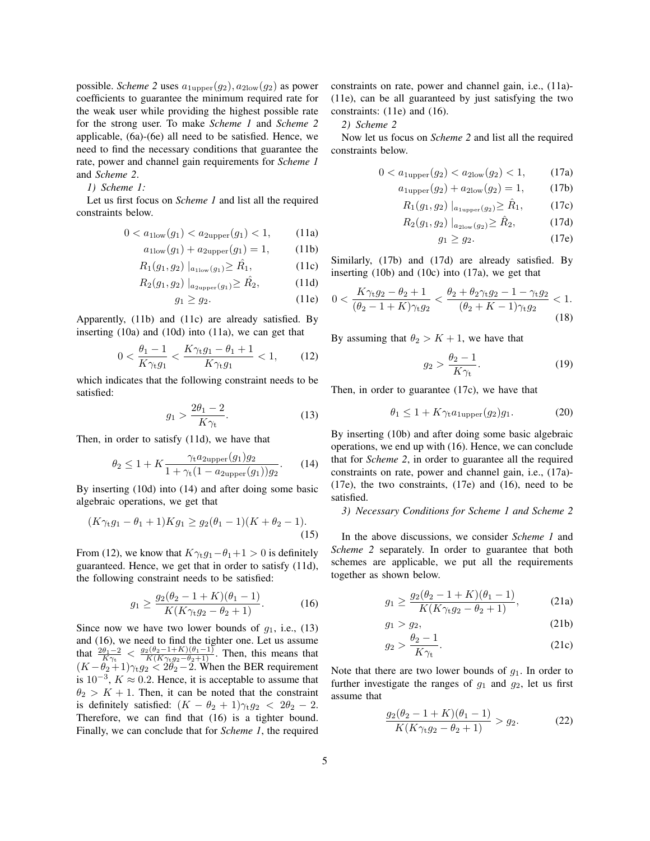possible. *Scheme* 2 uses  $a_{1\text{upper}}(g_2)$ ,  $a_{2\text{low}}(g_2)$  as power coefficients to guarantee the minimum required rate for the weak user while providing the highest possible rate for the strong user. To make *Scheme 1* and *Scheme 2* applicable, (6a)-(6e) all need to be satisfied. Hence, we need to find the necessary conditions that guarantee the rate, power and channel gain requirements for *Scheme 1* and *Scheme 2*.

*1) Scheme 1:*

Let us first focus on *Scheme 1* and list all the required constraints below.

$$
0 < a_{1\text{low}}(g_1) < a_{2\text{upper}}(g_1) < 1,\tag{11a}
$$

$$
a_{1\text{low}}(g_1) + a_{2\text{upper}}(g_1) = 1,\tag{11b}
$$

$$
R_1(g_1, g_2) \mid_{a_{1\text{low}}(g_1)} \ge \hat{R_1}, \tag{11c}
$$

$$
R_2(g_1, g_2) \mid_{a_{2\text{upper}}(g_1)} \ge \hat{R_2}, \tag{11d}
$$

$$
g_1 \ge g_2. \tag{11e}
$$

Apparently, (11b) and (11c) are already satisfied. By inserting (10a) and (10d) into (11a), we can get that

$$
0 < \frac{\theta_1 - 1}{K\gamma_t g_1} < \frac{K\gamma_t g_1 - \theta_1 + 1}{K\gamma_t g_1} < 1,\tag{12}
$$

which indicates that the following constraint needs to be satisfied:

$$
g_1 > \frac{2\theta_1 - 2}{K\gamma_\text{t}}.\tag{13}
$$

Then, in order to satisfy (11d), we have that

$$
\theta_2 \le 1 + K \frac{\gamma_{\rm t} a_{2\text{upper}}(g_1) g_2}{1 + \gamma_{\rm t} (1 - a_{2\text{upper}}(g_1)) g_2}.
$$
 (14)

By inserting (10d) into (14) and after doing some basic algebraic operations, we get that

$$
(K\gamma_{t}g_{1} - \theta_{1} + 1)Kg_{1} \ge g_{2}(\theta_{1} - 1)(K + \theta_{2} - 1).
$$
\n(15)

From (12), we know that  $K\gamma_t g_1 - \theta_1 + 1 > 0$  is definitely guaranteed. Hence, we get that in order to satisfy (11d), the following constraint needs to be satisfied:

$$
g_1 \ge \frac{g_2(\theta_2 - 1 + K)(\theta_1 - 1)}{K(K\gamma_1 g_2 - \theta_2 + 1)}.
$$
 (16)

Since now we have two lower bounds of  $g_1$ , i.e., (13) and (16), we need to find the tighter one. Let us assume that  $\frac{2\theta_1 - 2}{K\gamma_t} < \frac{g_2(\theta_2 - 1 + K)(\theta_1 - 1)}{K(K\gamma_t g_2 - \theta_2 + 1)}$ . Then, this means that  $(K - \theta_2 + 1)\gamma_{\rm t}g_2 < 2\theta_2 - 2$ . When the BER requirement is  $10^{-3}$ ,  $K \approx 0.2$ . Hence, it is acceptable to assume that  $\theta_2 > K + 1$ . Then, it can be noted that the constraint is definitely satisfied:  $(K - \theta_2 + 1)\gamma_t g_2 < 2\theta_2 - 2$ . Therefore, we can find that (16) is a tighter bound. Finally, we can conclude that for *Scheme 1*, the required

constraints on rate, power and channel gain, i.e., (11a)- (11e), can be all guaranteed by just satisfying the two constraints: (11e) and (16).

# *2) Scheme 2*

Now let us focus on *Scheme 2* and list all the required constraints below.

$$
0 < a_{1 \text{upper}}(g_2) < a_{2 \text{low}}(g_2) < 1,\tag{17a}
$$

$$
a_{1 \text{upper}}(g_2) + a_{2 \text{low}}(g_2) = 1, \quad (17b)
$$

$$
R_1(g_1, g_2) \mid_{a_{1 \text{upper}}(g_2)} \ge \hat{R}_1,\tag{17c}
$$

$$
R_2(g_1, g_2) \mid_{a_{2\text{low}}(g_2)} \ge \hat{R}_2,\tag{17d}
$$

$$
g_1 \ge g_2. \tag{17e}
$$

Similarly, (17b) and (17d) are already satisfied. By inserting (10b) and (10c) into (17a), we get that

$$
0 < \frac{K\gamma_{t}g_{2} - \theta_{2} + 1}{(\theta_{2} - 1 + K)\gamma_{t}g_{2}} < \frac{\theta_{2} + \theta_{2}\gamma_{t}g_{2} - 1 - \gamma_{t}g_{2}}{(\theta_{2} + K - 1)\gamma_{t}g_{2}} < 1. \tag{18}
$$

By assuming that  $\theta_2 > K + 1$ , we have that

$$
g_2 > \frac{\theta_2 - 1}{K\gamma_t}.\tag{19}
$$

Then, in order to guarantee (17c), we have that

$$
\theta_1 \le 1 + K\gamma_{\text{t}} a_{1 \text{upper}}(g_2) g_1. \tag{20}
$$

By inserting (10b) and after doing some basic algebraic operations, we end up with (16). Hence, we can conclude that for *Scheme 2*, in order to guarantee all the required constraints on rate, power and channel gain, i.e., (17a)- (17e), the two constraints, (17e) and (16), need to be satisfied.

#### *3) Necessary Conditions for Scheme 1 and Scheme 2*

In the above discussions, we consider *Scheme 1* and *Scheme 2* separately. In order to guarantee that both schemes are applicable, we put all the requirements together as shown below.

$$
g_1 \ge \frac{g_2(\theta_2 - 1 + K)(\theta_1 - 1)}{K(K\gamma_1 g_2 - \theta_2 + 1)},
$$
 (21a)

$$
g_1 > g_2, \tag{21b}
$$

$$
g_2 > \frac{\theta_2 - 1}{K\gamma_t}.\tag{21c}
$$

Note that there are two lower bounds of  $g_1$ . In order to further investigate the ranges of  $g_1$  and  $g_2$ , let us first assume that

$$
\frac{g_2(\theta_2 - 1 + K)(\theta_1 - 1)}{K(K\gamma_1 g_2 - \theta_2 + 1)} > g_2.
$$
 (22)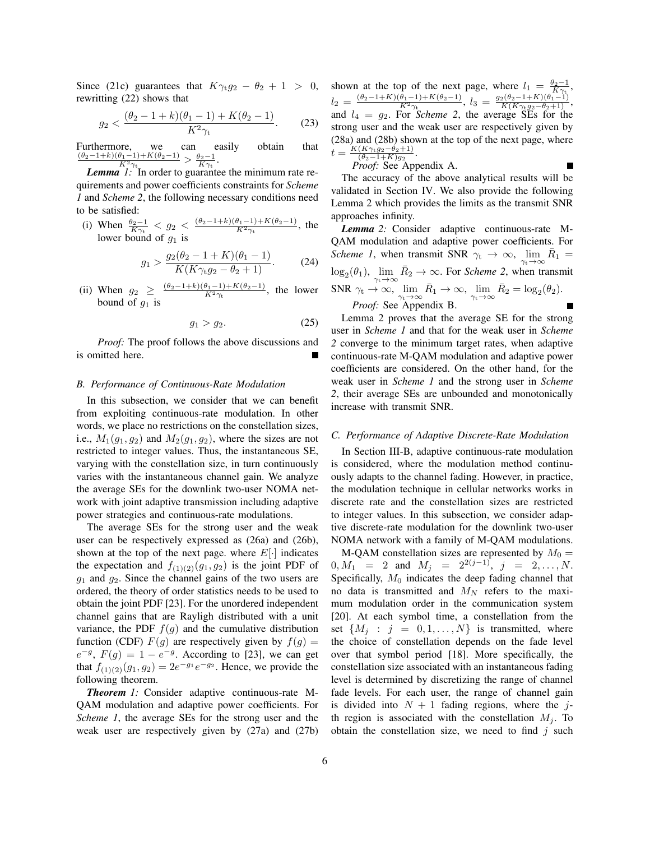Since (21c) guarantees that  $K\gamma_{t}g_{2} - \theta_{2} + 1 > 0$ , rewritting (22) shows that

$$
g_2 < \frac{(\theta_2 - 1 + k)(\theta_1 - 1) + K(\theta_2 - 1)}{K^2 \gamma_t}.\tag{23}
$$

Furthermore, we can easily obtain that  $\frac{(\theta_2-1+k)(\theta_1-1)+K(\theta_2-1)}{K^2\gamma_t} > \frac{\theta_2-1}{K\gamma_t}$ .

*Lemma 1:* In order to guarantee the minimum rate requirements and power coefficients constraints for *Scheme 1* and *Scheme 2*, the following necessary conditions need to be satisfied:

(i) When  $\frac{\theta_2 - 1}{K\gamma_t} < g_2 < \frac{(\theta_2 - 1 + k)(\theta_1 - 1) + K(\theta_2 - 1)}{K^2\gamma_t}$ , the lower bound of  $g_1$  is

$$
g_1 > \frac{g_2(\theta_2 - 1 + K)(\theta_1 - 1)}{K(K\gamma_1 g_2 - \theta_2 + 1)}.
$$
 (24)

(ii) When  $g_2 \geq \frac{(\theta_2 - 1 + k)(\theta_1 - 1) + K(\theta_2 - 1)}{K^2 \gamma_t}$ , the lower bound of  $g_1$  is

$$
g_1 > g_2. \tag{25}
$$

*Proof:* The proof follows the above discussions and is omitted here.

# *B. Performance of Continuous-Rate Modulation*

In this subsection, we consider that we can benefit from exploiting continuous-rate modulation. In other words, we place no restrictions on the constellation sizes, i.e.,  $M_1(q_1, q_2)$  and  $M_2(q_1, q_2)$ , where the sizes are not restricted to integer values. Thus, the instantaneous SE, varying with the constellation size, in turn continuously varies with the instantaneous channel gain. We analyze the average SEs for the downlink two-user NOMA network with joint adaptive transmission including adaptive power strategies and continuous-rate modulations.

The average SEs for the strong user and the weak user can be respectively expressed as (26a) and (26b), shown at the top of the next page. where  $E[\cdot]$  indicates the expectation and  $f_{(1)(2)}(g_1, g_2)$  is the joint PDF of  $g_1$  and  $g_2$ . Since the channel gains of the two users are ordered, the theory of order statistics needs to be used to obtain the joint PDF [23]. For the unordered independent channel gains that are Rayligh distributed with a unit variance, the PDF  $f(g)$  and the cumulative distribution function (CDF)  $F(g)$  are respectively given by  $f(g) =$  $e^{-g}$ ,  $F(g) = 1 - e^{-g}$ . According to [23], we can get that  $f_{(1)(2)}(g_1, g_2) = 2e^{-g_1}e^{-g_2}$ . Hence, we provide the following theorem.

*Theorem 1:* Consider adaptive continuous-rate M-QAM modulation and adaptive power coefficients. For *Scheme 1*, the average SEs for the strong user and the weak user are respectively given by (27a) and (27b) shown at the top of the next page, where  $l_1 = \frac{\theta_2 - 1}{K\gamma_t}$ ,  $l_2 = \frac{(\theta_2 - 1 + K)(\theta_1 - 1) + K(\theta_2 - 1)}{K^2 \gamma_t}, \ l_3 = \frac{g_2(\theta_2 - 1 + K)(\theta_1 - 1)}{K(K \gamma_t g_2 - \theta_2 + 1)},$ and  $l_4 = g_2$ . For *Scheme 2*, the average SEs for the strong user and the weak user are respectively given by (28a) and (28b) shown at the top of the next page, where  $t = \frac{K(K\gamma_{t}g_{2}-\theta_{2}+1)}{(\theta_{2}-1+K)g_{2}}$  $\frac{(K\gamma_{t}g_{2}-\theta_{2}+1)}{(\theta_{2}-1+K)g_{2}}$ .

*Proof:* See Appendix A.

The accuracy of the above analytical results will be validated in Section IV. We also provide the following Lemma 2 which provides the limits as the transmit SNR approaches infinity.

*Lemma 2:* Consider adaptive continuous-rate M-QAM modulation and adaptive power coefficients. For *Scheme 1*, when transmit SNR  $\gamma_t \to \infty$ , lim  $\bar{R}_1 =$  $\gamma_{\rm t}\!\to\!\infty$  $\log_2(\theta_1)$ ,  $\lim_{\gamma_t \to \infty} \bar{R}_2 \to \infty$ . For *Scheme 2*, when transmit SNR  $\gamma_t \to \infty$ ,  $\lim_{\gamma_t \to \infty} \bar{R}_1 \to \infty$ ,  $\lim_{\gamma_t \to \infty} \bar{R}_2 = \log_2(\theta_2)$ . *Proof:* See Appendix B.

Lemma 2 proves that the average SE for the strong user in *Scheme 1* and that for the weak user in *Scheme 2* converge to the minimum target rates, when adaptive continuous-rate M-QAM modulation and adaptive power coefficients are considered. On the other hand, for the weak user in *Scheme 1* and the strong user in *Scheme 2*, their average SEs are unbounded and monotonically increase with transmit SNR.

## *C. Performance of Adaptive Discrete-Rate Modulation*

In Section III-B, adaptive continuous-rate modulation is considered, where the modulation method continuously adapts to the channel fading. However, in practice, the modulation technique in cellular networks works in discrete rate and the constellation sizes are restricted to integer values. In this subsection, we consider adaptive discrete-rate modulation for the downlink two-user NOMA network with a family of M-QAM modulations.

M-QAM constellation sizes are represented by  $M_0 =$  $0, M_1 = 2$  and  $M_j = 2^{2(j-1)}, j = 2, ..., N$ . Specifically,  $M_0$  indicates the deep fading channel that no data is transmitted and  $M_N$  refers to the maximum modulation order in the communication system [20]. At each symbol time, a constellation from the set  $\{M_i : j = 0, 1, \ldots, N\}$  is transmitted, where the choice of constellation depends on the fade level over that symbol period [18]. More specifically, the constellation size associated with an instantaneous fading level is determined by discretizing the range of channel fade levels. For each user, the range of channel gain is divided into  $N + 1$  fading regions, where the jth region is associated with the constellation  $M_j$ . To obtain the constellation size, we need to find  $j$  such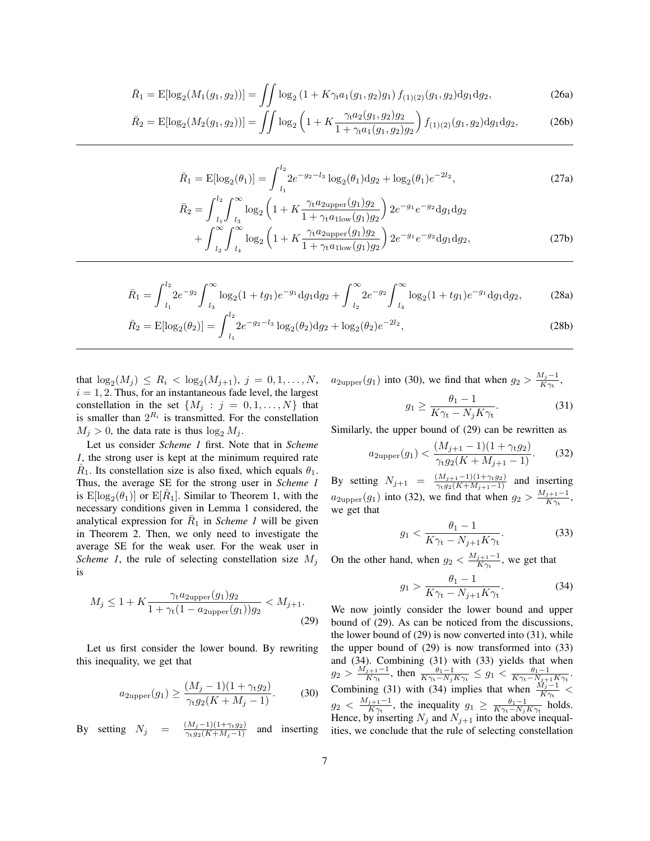$$
\bar{R}_1 = \mathbb{E}[\log_2(M_1(g_1, g_2))] = \iint \log_2\left(1 + K\gamma_t a_1(g_1, g_2)g_1\right) f_{(1)(2)}(g_1, g_2) \mathrm{d}g_1 \mathrm{d}g_2,\tag{26a}
$$

$$
\bar{R}_2 = \mathbb{E}[\log_2(M_2(g_1, g_2))] = \iint \log_2\left(1 + K \frac{\gamma_1 a_2(g_1, g_2) g_2}{1 + \gamma_1 a_1(g_1, g_2) g_2}\right) f_{(1)(2)}(g_1, g_2) \mathrm{d}g_1 \mathrm{d}g_2,\tag{26b}
$$

$$
\bar{R}_1 = \mathbb{E}[\log_2(\theta_1)] = \int_{l_1}^{l_2} 2e^{-g_2 - l_3} \log_2(\theta_1) \mathrm{d}g_2 + \log_2(\theta_1)e^{-2l_2},\tag{27a}
$$
\n
$$
\bar{P} = \int_{l_1}^{l_2} \int_{l_2}^{\infty} \log_2\left(1 + K^{-\gamma t} \frac{\partial^2 \text{upper}(g_1)g_2}{\partial s} \right) \frac{\partial^2 \bar{g}_2}{\partial s} ds \, ds
$$

$$
\bar{R}_2 = \int_{l_1}^{l_1} \int_{l_3} \log_2 \left( 1 + K \frac{\gamma_t a_{2\text{upper}}(g_1) g_2}{1 + \gamma_t a_{1\text{low}}(g_1) g_2} \right) 2e^{-g_1} e^{-g_2} \text{d}g_1 \text{d}g_2
$$
\n
$$
+ \int_{l_2}^{\infty} \int_{l_4}^{\infty} \log_2 \left( 1 + K \frac{\gamma_t a_{2\text{upper}}(g_1) g_2}{1 + \gamma_t a_{1\text{low}}(g_1) g_2} \right) 2e^{-g_1} e^{-g_2} \text{d}g_1 \text{d}g_2,\tag{27b}
$$

$$
\bar{R}_1 = \int_{l_1}^{l_2} 2e^{-g_2} \int_{l_3}^{\infty} \log_2(1 + tg_1)e^{-g_1} \mathrm{d}g_1 \mathrm{d}g_2 + \int_{l_2}^{\infty} 2e^{-g_2} \int_{l_4}^{\infty} \log_2(1 + tg_1)e^{-g_1} \mathrm{d}g_1 \mathrm{d}g_2, \tag{28a}
$$

$$
\bar{R}_2 = \mathbb{E}[\log_2(\theta_2)] = \int_{l_1}^{l_2} 2e^{-g_2 - l_3} \log_2(\theta_2) \mathrm{d}g_2 + \log_2(\theta_2) e^{-2l_2},\tag{28b}
$$

that  $\log_2(M_j) \leq R_i < \log_2(M_{j+1}), j = 0, 1, ..., N$ ,  $i = 1, 2$ . Thus, for an instantaneous fade level, the largest constellation in the set  $\{M_j : j = 0, 1, \ldots, N\}$  that is smaller than  $2^{R_i}$  is transmitted. For the constellation  $M_j > 0$ , the data rate is thus  $\log_2 M_j$ .

Let us consider *Scheme 1* first. Note that in *Scheme 1*, the strong user is kept at the minimum required rate  $\hat{R}_1$ . Its constellation size is also fixed, which equals  $\theta_1$ . Thus, the average SE for the strong user in *Scheme 1* is  $E[log_2(\theta_1)]$  or  $E[\hat{R}_1]$ . Similar to Theorem 1, with the necessary conditions given in Lemma 1 considered, the analytical expression for  $\overline{R}_1$  in *Scheme 1* will be given in Theorem 2. Then, we only need to investigate the average SE for the weak user. For the weak user in *Scheme 1*, the rule of selecting constellation size  $M_i$ is

$$
M_j \le 1 + K \frac{\gamma_t a_{2\text{upper}}(g_1) g_2}{1 + \gamma_t (1 - a_{2\text{upper}}(g_1)) g_2} < M_{j+1}.
$$
\n(29)

Let us first consider the lower bound. By rewriting this inequality, we get that

$$
a_{2\text{upper}}(g_1) \ge \frac{(M_j - 1)(1 + \gamma_t g_2)}{\gamma_t g_2(K + M_j - 1)}.
$$
 (30)

By setting  $N_j = \frac{(M_j-1)(1+\gamma_t g_2)}{\gamma_t g_2(K+M_j-1)}$  and inserting

 $a_{2 \text{upper}}(g_1)$  into (30), we find that when  $g_2 > \frac{M_j-1}{K \gamma_*}$  $\frac{\mu_j-1}{K\gamma_{\rm t}},$ 

$$
g_1 \ge \frac{\theta_1 - 1}{K\gamma_t - N_j K\gamma_t}.\tag{31}
$$

Similarly, the upper bound of (29) can be rewritten as

$$
a_{2\text{upper}}(g_1) < \frac{(M_{j+1} - 1)(1 + \gamma_t g_2)}{\gamma_t g_2 (K + M_{j+1} - 1)}.\tag{32}
$$

By setting  $N_{j+1} = \frac{(M_{j+1}-1)(1+\gamma_{t}g_2)}{\gamma_{t}g_2(K+M_{j+1}-1)}$  and inserting  $a_{2 \text{upper}}(g_1)$  into (32), we find that when  $g_2 > \frac{M_{j+1}-1}{K\gamma_k}$  $\frac{j+1-1}{K\gamma_t},$ we get that

$$
g_1 < \frac{\theta_1 - 1}{K\gamma_t - N_{j+1}K\gamma_t}.\tag{33}
$$

On the other hand, when  $g_2 < \frac{M_{j+1}-1}{K\gamma_k}$  $\frac{j+1-1}{K\gamma_t}$ , we get that

$$
g_1 > \frac{\theta_1 - 1}{K\gamma_t - N_{j+1}K\gamma_t}.\tag{34}
$$

We now jointly consider the lower bound and upper bound of (29). As can be noticed from the discussions, the lower bound of  $(29)$  is now converted into  $(31)$ , while the upper bound of (29) is now transformed into (33) and (34). Combining (31) with (33) yields that when  $g_2 > \frac{M_{j+1}-1}{K_{\gamma_*}}$  $\frac{\theta_1-1}{K\gamma_t}$ , then  $\frac{\theta_1-1}{K\gamma_t-N_jK\gamma_t} \leq g_1 < \frac{\theta_1-1}{K\gamma_t-N_{j+1}K\gamma_t}$ . Combining (31) with (34) implies that when  $\frac{M_j-1}{K\gamma_t}$  <  $g_2 \, < \, \frac{M_{j+1}-1}{K\gamma}$  $\frac{j+1-1}{K\gamma_t}$ , the inequality  $g_1 \geq \frac{\theta_1-1}{K\gamma_t-N_jK\gamma_t}$  holds. Hence, by inserting  $N_j$  and  $N_{j+1}$  into the above inequalities, we conclude that the rule of selecting constellation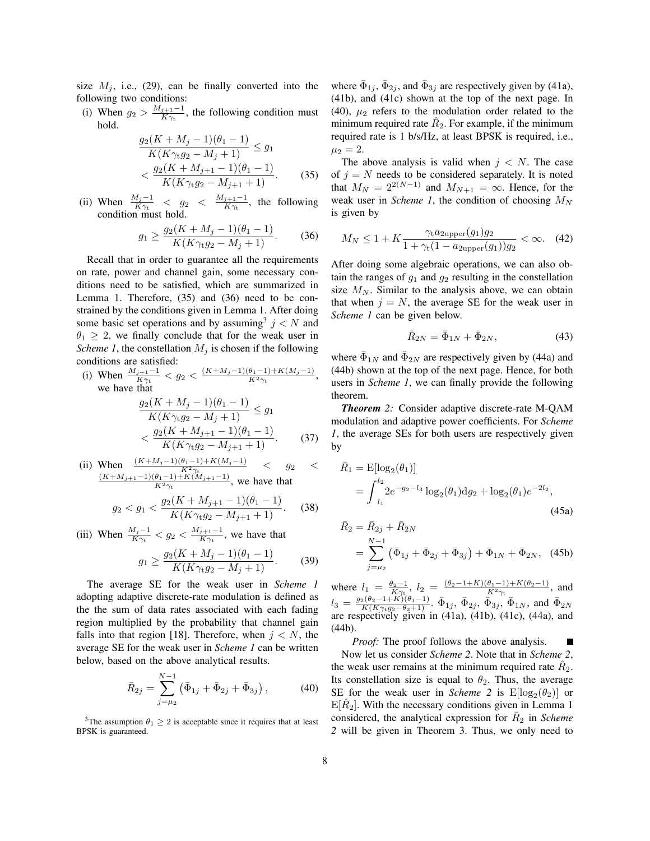size  $M_i$ , i.e., (29), can be finally converted into the following two conditions:

(i) When  $g_2 > \frac{M_{j+1}-1}{K\gamma_*}$  $\frac{j+1-1}{K\gamma_t}$ , the following condition must hold.

$$
\frac{g_2(K + M_j - 1)(\theta_1 - 1)}{K(K\gamma_t g_2 - M_j + 1)} \le g_1
$$
  

$$
< \frac{g_2(K + M_{j+1} - 1)(\theta_1 - 1)}{K(K\gamma_t g_2 - M_{j+1} + 1)}.
$$
 (35)

(ii) When  $\frac{M_j-1}{K\gamma_t}$  <  $g_2$  <  $\frac{M_{j+1}-1}{K\gamma_t}$  $\frac{j+1-1}{K\gamma_t}$ , the following condition must hold.

$$
g_1 \ge \frac{g_2(K + M_j - 1)(\theta_1 - 1)}{K(K\gamma_t g_2 - M_j + 1)}.
$$
 (36)

Recall that in order to guarantee all the requirements on rate, power and channel gain, some necessary conditions need to be satisfied, which are summarized in Lemma 1. Therefore, (35) and (36) need to be constrained by the conditions given in Lemma 1. After doing some basic set operations and by assuming  $j < N$  and  $\theta_1 \geq 2$ , we finally conclude that for the weak user in *Scheme 1*, the constellation  $M_j$  is chosen if the following conditions are satisfied:

(i) When 
$$
\frac{M_{j+1}-1}{K\gamma_t} < g_2 < \frac{(K+M_j-1)(\theta_1-1)+K(M_j-1)}{K^2\gamma_t}
$$
, we have that  $g_2(K+M_j-1)(\theta_1-1) < \infty$ .

$$
\frac{g_2(K + M_j - 1)(0 + 1)}{K(K\gamma_6 g_2 - M_j + 1)} \le g_1
$$
  
< 
$$
< \frac{g_2(K + M_{j+1} - 1)(\theta_1 - 1)}{K(K\gamma_6 g_2 - M_{j+1} + 1)}.
$$
 (37)

(ii) When 
$$
\frac{(K+M_j-1)(\theta_1-1)+K(M_j-1)}{K^2\gamma_t} < g_2 < \frac{(K+M_{j+1}-1)(\theta_1-1)+K(M_{j+1}-1)}{K^2\gamma_t}
$$
, we have that

$$
g_2 < g_1 < \frac{g_2(K + M_{j+1} - 1)(\theta_1 - 1)}{K(K\gamma_t g_2 - M_{j+1} + 1)}.\tag{38}
$$

(iii) When  $\frac{M_j - 1}{K\gamma_t} < g_2 < \frac{M_{j+1} - 1}{K\gamma_t}$  $\frac{j+1-1}{K\gamma_t}$ , we have that

$$
g_1 \ge \frac{g_2(K + M_j - 1)(\theta_1 - 1)}{K(K\gamma_t g_2 - M_j + 1)}.
$$
 (39)

The average SE for the weak user in *Scheme 1* adopting adaptive discrete-rate modulation is defined as the the sum of data rates associated with each fading region multiplied by the probability that channel gain falls into that region [18]. Therefore, when  $j < N$ , the average SE for the weak user in *Scheme 1* can be written below, based on the above analytical results.

$$
\bar{R}_{2j} = \sum_{j=\mu_2}^{N-1} \left( \bar{\Phi}_{1j} + \bar{\Phi}_{2j} + \bar{\Phi}_{3j} \right), \tag{40}
$$

<sup>3</sup>The assumption  $\theta_1 \geq 2$  is acceptable since it requires that at least BPSK is guaranteed.

where  $\bar{\Phi}_{1j}$ ,  $\bar{\Phi}_{2j}$ , and  $\bar{\Phi}_{3j}$  are respectively given by (41a), (41b), and (41c) shown at the top of the next page. In (40),  $\mu_2$  refers to the modulation order related to the minimum required rate  $\hat{R}_2$ . For example, if the minimum required rate is 1 b/s/Hz, at least BPSK is required, i.e.,  $\mu_2 = 2.$ 

The above analysis is valid when  $j < N$ . The case of  $j = N$  needs to be considered separately. It is noted that  $M_N = 2^{2(N-1)}$  and  $M_{N+1} = \infty$ . Hence, for the weak user in *Scheme 1*, the condition of choosing  $M_N$ is given by

$$
M_N \le 1 + K \frac{\gamma_t a_{2\text{upper}}(g_1) g_2}{1 + \gamma_t (1 - a_{2\text{upper}}(g_1)) g_2} < \infty. \tag{42}
$$

After doing some algebraic operations, we can also obtain the ranges of  $q_1$  and  $q_2$  resulting in the constellation size  $M_N$ . Similar to the analysis above, we can obtain that when  $j = N$ , the average SE for the weak user in *Scheme 1* can be given below.

$$
\bar{R}_{2N} = \bar{\Phi}_{1N} + \bar{\Phi}_{2N}, \tag{43}
$$

where  $\bar{\Phi}_{1N}$  and  $\bar{\Phi}_{2N}$  are respectively given by (44a) and (44b) shown at the top of the next page. Hence, for both users in *Scheme 1*, we can finally provide the following theorem.

*Theorem 2:* Consider adaptive discrete-rate M-QAM modulation and adaptive power coefficients. For *Scheme 1*, the average SEs for both users are respectively given by

$$
\bar{R}_1 = \mathbb{E}[\log_2(\theta_1)]
$$
  
=  $\int_{l_1}^{l_2} 2e^{-g_2 - l_3} \log_2(\theta_1) \, dg_2 + \log_2(\theta_1) e^{-2l_2},$   
(45a)

$$
\begin{aligned} \bar{R}_2 &= \bar{R}_{2j} + \bar{R}_{2N} \\ &= \sum_{j=\mu_2}^{N-1} \left( \bar{\Phi}_{1j} + \bar{\Phi}_{2j} + \bar{\Phi}_{3j} \right) + \bar{\Phi}_{1N} + \bar{\Phi}_{2N}, \end{aligned} \tag{45b}
$$

where  $l_1 = \frac{\theta_2 - 1}{K\gamma_1}$ ,  $l_2 = \frac{(\theta_2 - 1 + K)(\theta_1 - 1) + K(\theta_2 - 1)}{K^2\gamma_1}$ , and  $l_3=\frac{g_2(\theta_2-1+K)(\theta_1-1)}{K(K\gamma_tg_2-\theta_2+1)}$ .  $\bar{\Phi}_{1j}$ ,  $\bar{\Phi}_{2j}$ ,  $\bar{\Phi}_{3j}$ ,  $\bar{\Phi}_{1N}$ , and  $\bar{\Phi}_{2N}$ are respectively given in  $(41a)$ ,  $(41b)$ ,  $(41c)$ ,  $(44a)$ , and (44b).

*Proof:* The proof follows the above analysis. Now let us consider *Scheme 2*. Note that in *Scheme 2*, the weak user remains at the minimum required rate  $\hat{R}_2$ . Its constellation size is equal to  $\theta_2$ . Thus, the average SE for the weak user in *Scheme* 2 is  $E[\log_2(\theta_2)]$  or  $E[\hat{R}_2]$ . With the necessary conditions given in Lemma 1 considered, the analytical expression for  $\bar{R}_2$  in *Scheme 2* will be given in Theorem 3. Thus, we only need to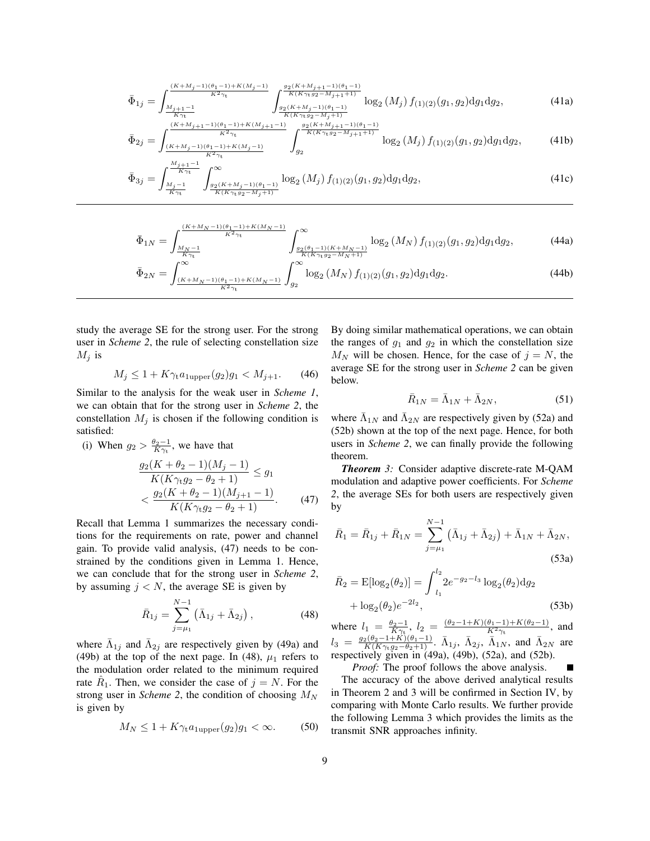$$
\bar{\Phi}_{1j} = \int_{\frac{M_{j+1}-1}{M_{j+1}-1}}^{\frac{(K+M_j-1)(\theta_1-1)+K(M_j-1)}{K^2\gamma_t}} \int_{\frac{g_2(K+M_j+1-1)(\theta_1-1)}{g_K(K\gamma_t g_2 - M_{j+1}+1)}}^{\frac{g_2(K+M_j+1-1)(\theta_1-1)}{K(K\gamma_t g_2 - M_{j+1}+1)}} \log_2(M_j) f_{(1)(2)}(g_1, g_2) \mathrm{d}g_1 \mathrm{d}g_2, \tag{41a}
$$

$$
\bar{\Phi}_{2j} = \int_{\frac{(K+M_j-1)(\theta_1-1)+K(M_j-1)}{K^2\gamma_t}}^{\frac{(K+M_j+1-1)(\theta_1-1)+K(M_j+1)-1)}{K^2\gamma_t}} \int_{g_2}^{\frac{g_2(K+M_j+1-1)(\theta_1-1)}{K(K\gamma_t g_2 - M_j+1)}} \log_2(M_j) f_{(1)(2)}(g_1, g_2) dg_1 dg_2, \tag{41b}
$$

$$
\bar{\Phi}_{3j} = \int_{\frac{M_j - 1}{K\gamma_t}}^{\frac{M_{j+1} - 1}{K\gamma_t}} \int_{\frac{g_2(K + M_j - 1)(\theta_1 - 1)}{K(K\gamma_t g_2 - M_j + 1)}}^{\infty} \log_2(M_j) f_{(1)(2)}(g_1, g_2) dg_1 dg_2, \tag{41c}
$$

$$
\bar{\Phi}_{1N} = \int_{\frac{M_N - 1}{K\gamma_t}}^{\frac{(K + M_N - 1)(\theta_1 - 1) + K(M_N - 1)}{K^2 \gamma_t}} \int_{\frac{g_2(\theta_1 - 1)(K + M_N - 1)}{K(K\gamma_t g_2 - M_N + 1)}}^{\infty} \log_2(M_N) f_{(1)(2)}(g_1, g_2) \mathrm{d}g_1 \mathrm{d}g_2,\tag{44a}
$$

$$
\bar{\Phi}_{2N} = \int_{\frac{(K+M_N-1)(\theta_1-1)+K(M_N-1)}{K^2 \gamma_t}}^{\infty} \int_{g_2}^{\infty} \log_2(M_N) f_{(1)(2)}(g_1, g_2) \mathrm{d}g_1 \mathrm{d}g_2. \tag{44b}
$$

study the average SE for the strong user. For the strong user in *Scheme 2*, the rule of selecting constellation size  $M_j$  is

$$
M_j \le 1 + K\gamma_t a_{1 \text{upper}}(g_2)g_1 < M_{j+1}.\tag{46}
$$

 $K^2\gamma_t$ 

Similar to the analysis for the weak user in *Scheme 1*, we can obtain that for the strong user in *Scheme 2*, the constellation  $M_j$  is chosen if the following condition is satisfied:

(i) When 
$$
g_2 > \frac{\theta_2 - 1}{K\gamma_t}
$$
, we have that  
\n
$$
\frac{g_2(K + \theta_2 - 1)(M_j - 1)}{K(K\gamma_t g_2 - \theta_2 + 1)} \le g_1
$$
\n
$$
< \frac{g_2(K + \theta_2 - 1)(M_{j+1} - 1)}{K(K\gamma_t g_2 - \theta_2 + 1)}.
$$
\n(47)

Recall that Lemma 1 summarizes the necessary conditions for the requirements on rate, power and channel gain. To provide valid analysis, (47) needs to be constrained by the conditions given in Lemma 1. Hence, we can conclude that for the strong user in *Scheme 2*, by assuming  $j < N$ , the average SE is given by

$$
\bar{R}_{1j} = \sum_{j=\mu_1}^{N-1} (\bar{\Lambda}_{1j} + \bar{\Lambda}_{2j}), \qquad (48)
$$

where  $\bar{\Lambda}_{1j}$  and  $\bar{\Lambda}_{2j}$  are respectively given by (49a) and (49b) at the top of the next page. In (48),  $\mu_1$  refers to the modulation order related to the minimum required rate  $\hat{R}_1$ . Then, we consider the case of  $j = N$ . For the strong user in *Scheme 2*, the condition of choosing  $M_N$ is given by

$$
M_N \le 1 + K\gamma_t a_{1\text{upper}}(g_2)g_1 < \infty. \tag{50}
$$

By doing similar mathematical operations, we can obtain the ranges of  $g_1$  and  $g_2$  in which the constellation size  $M_N$  will be chosen. Hence, for the case of  $j = N$ , the average SE for the strong user in *Scheme 2* can be given below.

$$
\bar{R}_{1N} = \bar{\Lambda}_{1N} + \bar{\Lambda}_{2N},\tag{51}
$$

where  $\bar{\Lambda}_{1N}$  and  $\bar{\Lambda}_{2N}$  are respectively given by (52a) and (52b) shown at the top of the next page. Hence, for both users in *Scheme 2*, we can finally provide the following theorem.

*Theorem 3:* Consider adaptive discrete-rate M-QAM modulation and adaptive power coefficients. For *Scheme 2*, the average SEs for both users are respectively given by

$$
\bar{R}_1 = \bar{R}_{1j} + \bar{R}_{1N} = \sum_{j=\mu_1}^{N-1} \left( \bar{\Lambda}_{1j} + \bar{\Lambda}_{2j} \right) + \bar{\Lambda}_{1N} + \bar{\Lambda}_{2N},
$$
\n(53a)

$$
\bar{R}_2 = \mathbb{E}[\log_2(\theta_2)] = \int_{l_1}^{l_2} 2e^{-g_2 - l_3} \log_2(\theta_2) \mathrm{d}g_2
$$

$$
+ \log_2(\theta_2)e^{-2l_2}, \tag{53b}
$$

where  $l_1 = \frac{\theta_2 - 1}{K\gamma_1}, l_2 = \frac{(\theta_2 - 1 + K)(\theta_1 - 1) + K(\theta_2 - 1)}{K^2\gamma_1},$  and  $l_3 = \frac{g_2(\theta_2 - 1 + K)(\theta_1 - 1)}{K(K \gamma_1 g_2 - \theta_2 + 1)}$ .  $\bar{\Lambda}_{1j}$ ,  $\bar{\Lambda}_{2j}$ ,  $\bar{\Lambda}_{1N}$ , and  $\bar{\Lambda}_{2N}$  are respectively given in (49a), (49b), (52a), and (52b).

*Proof:* The proof follows the above analysis. The accuracy of the above derived analytical results in Theorem 2 and 3 will be confirmed in Section IV, by comparing with Monte Carlo results. We further provide the following Lemma 3 which provides the limits as the transmit SNR approaches infinity.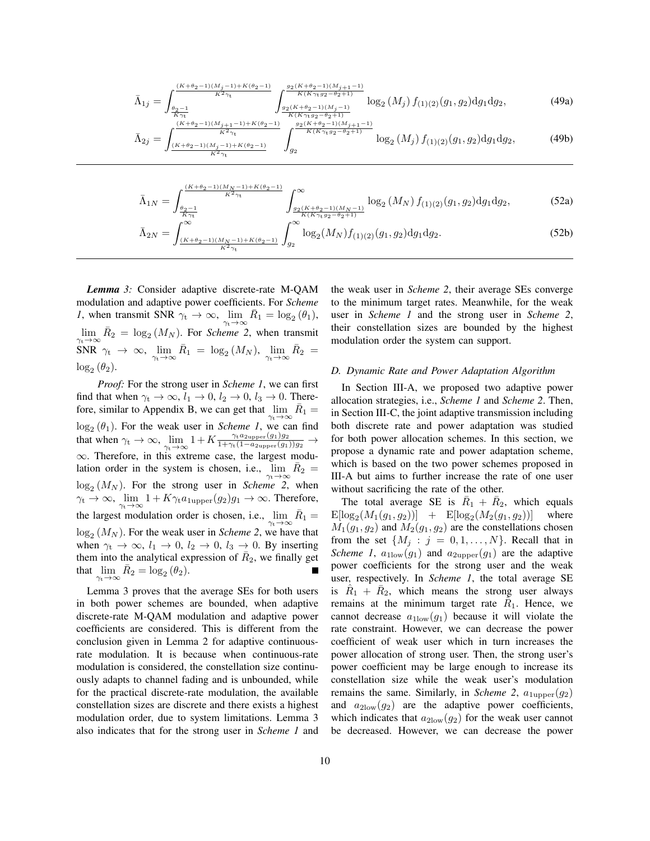$$
\bar{\Lambda}_{1j} = \int_{\frac{\theta_2 - 1}{K\gamma_t}}^{\frac{(K + \theta_2 - 1)(M_j - 1) + K(\theta_2 - 1)}{K^2\gamma_t}} \int_{\frac{g_2(K + \theta_2 - 1)(M_j + 1)}{K(K\gamma_t g_2 - \theta_2 + 1)}}^{\frac{g_2(K + \theta_2 - 1)(M_j + 1)}{K(K\gamma_t g_2 - \theta_2 + 1)}} \log_2(M_j) f_{(1)(2)}(g_1, g_2) dg_1 dg_2, \tag{49a}
$$

$$
\bar{\Lambda}_{2j} = \int_{\frac{(K+\theta_2-1)(M_j+1)-1+K(\theta_2-1)}{K^2\gamma_t}}^{\frac{(K+\theta_2-1)(M_j+1)-1+K(\theta_2-1)}{K^2\gamma_t}} \int_{g_2}^{\frac{g_2(K+\theta_2-1)(M_j+1)-1}{K(K\gamma_t g_2-\theta_2+1)}} \log_2(M_j) f_{(1)(2)}(g_1, g_2) \mathrm{d}g_1 \mathrm{d}g_2,\tag{49b}
$$

$$
\bar{\Lambda}_{1N} = \int_{\frac{\theta_2 - 1}{K\gamma_t}}^{\frac{(K + \theta_2 - 1)(M_N - 1) + K(\theta_2 - 1)}{K^2\gamma_t}} \int_{\frac{g_2(K + \theta_2 - 1)(M_N - 1)}{K(K\gamma_t g_2 - \theta_2 + 1)}}^{\infty} \log_2(M_N) f_{(1)(2)}(g_1, g_2) dg_1 dg_2, \tag{52a}
$$

$$
\bar{\Lambda}_{2N} = \int_{\frac{(K+\theta_2-1)(M_N-1)+K(\theta_2-1)}{K^2\gamma_t}}^{\bullet} \int_{g_2}^{\bullet} \log_2(M_N) f_{(1)(2)}(g_1, g_2) \mathrm{d}g_1 \mathrm{d}g_2. \tag{52b}
$$

*Lemma 3:* Consider adaptive discrete-rate M-QAM modulation and adaptive power coefficients. For *Scheme 1*, when transmit SNR  $\gamma_t \to \infty$ ,  $\lim_{\gamma_t \to \infty} \bar{R}_1 = \log_2(\theta_1)$ ,  $\lim_{\gamma_1 \to \infty} \bar{R}_2 = \log_2(M_N)$ . For *Scheme 2*, when transmit  $\begin{array}{rcl} \mathrm{SNR}\ \gamma_{\mathrm{t}}\ \rightarrow\ \infty,\ \lim\limits_{\gamma_{\mathrm{t}}\rightarrow\infty}\bar{R}_{1}\ =\ \log_{2}\left(M_{N}\right),\ \lim\limits_{\gamma_{\mathrm{t}}\rightarrow\infty}\bar{R}_{2}\ =\ \end{array}$  $log_2(\theta_2)$ .

*Proof:* For the strong user in *Scheme 1*, we can first find that when  $\gamma_t \to \infty$ ,  $l_1 \to 0$ ,  $l_2 \to 0$ ,  $l_3 \to 0$ . Therefore, similar to Appendix B, we can get that  $\lim_{\gamma_t \to \infty} \bar{R}_1 =$  $\log_2(\theta_1)$ . For the weak user in *Scheme 1*, we can find that when  $\gamma_t \to \infty$ ,  $\lim_{\gamma_t \to \infty} 1 + K \frac{\gamma_t a_{2\text{upper}}(g_1) g_2}{1 + \gamma_t (1 - a_{2\text{upper}}(g_1)) g_2} \to$ ∞. Therefore, in this extreme case, the largest modulation order in the system is chosen, i.e.,  $\lim_{n \to \infty} R_2 =$  $\log_2(M_N)$ . For the strong user in *Scheme* 2, when  $\gamma_t \to \infty$ ,  $\lim_{\gamma_t \to \infty} 1 + K\gamma_t a_{1 \text{upper}}(g_2)g_1 \to \infty$ . Therefore, the largest modulation order is chosen, i.e.,  $\lim_{\gamma_t \to \infty} \bar{R}_1 =$  $log<sub>2</sub>(M<sub>N</sub>)$ . For the weak user in *Scheme 2*, we have that when  $\gamma_t \to \infty$ ,  $l_1 \to 0$ ,  $l_2 \to 0$ ,  $l_3 \to 0$ . By inserting them into the analytical expression of  $\bar{R}_2$ , we finally get that  $\lim_{\gamma_t \to \infty} \bar{R}_2 = \log_2(\theta_2)$ .

Lemma 3 proves that the average SEs for both users in both power schemes are bounded, when adaptive discrete-rate M-QAM modulation and adaptive power coefficients are considered. This is different from the conclusion given in Lemma 2 for adaptive continuousrate modulation. It is because when continuous-rate modulation is considered, the constellation size continuously adapts to channel fading and is unbounded, while for the practical discrete-rate modulation, the available constellation sizes are discrete and there exists a highest modulation order, due to system limitations. Lemma 3 also indicates that for the strong user in *Scheme 1* and the weak user in *Scheme 2*, their average SEs converge to the minimum target rates. Meanwhile, for the weak user in *Scheme 1* and the strong user in *Scheme 2*, their constellation sizes are bounded by the highest modulation order the system can support.

# *D. Dynamic Rate and Power Adaptation Algorithm*

In Section III-A, we proposed two adaptive power allocation strategies, i.e., *Scheme 1* and *Scheme 2*. Then, in Section III-C, the joint adaptive transmission including both discrete rate and power adaptation was studied for both power allocation schemes. In this section, we propose a dynamic rate and power adaptation scheme, which is based on the two power schemes proposed in III-A but aims to further increase the rate of one user without sacrificing the rate of the other.

The total average SE is  $\bar{R}_1 + \bar{R}_2$ , which equals  $\mathbb{E}[\log_2(M_1(g_1, g_2))]$  +  $\mathbb{E}[\log_2(M_2(g_1, g_2))]$  where  $M_1(g_1, g_2)$  and  $M_2(g_1, g_2)$  are the constellations chosen from the set  $\{M_i : j = 0, 1, \ldots, N\}$ . Recall that in *Scheme 1*,  $a_{1\text{low}}(g_1)$  and  $a_{2\text{upper}}(g_1)$  are the adaptive power coefficients for the strong user and the weak user, respectively. In *Scheme 1*, the total average SE is  $\hat{R}_1 + \bar{R}_2$ , which means the strong user always remains at the minimum target rate  $\tilde{R}_1$ . Hence, we cannot decrease  $a_{1\text{low}}(g_1)$  because it will violate the rate constraint. However, we can decrease the power coefficient of weak user which in turn increases the power allocation of strong user. Then, the strong user's power coefficient may be large enough to increase its constellation size while the weak user's modulation remains the same. Similarly, in *Scheme 2*,  $a_{1\text{upper}}(g_2)$ and  $a_{2\text{low}}(g_2)$  are the adaptive power coefficients, which indicates that  $a_{2\text{low}}(g_2)$  for the weak user cannot be decreased. However, we can decrease the power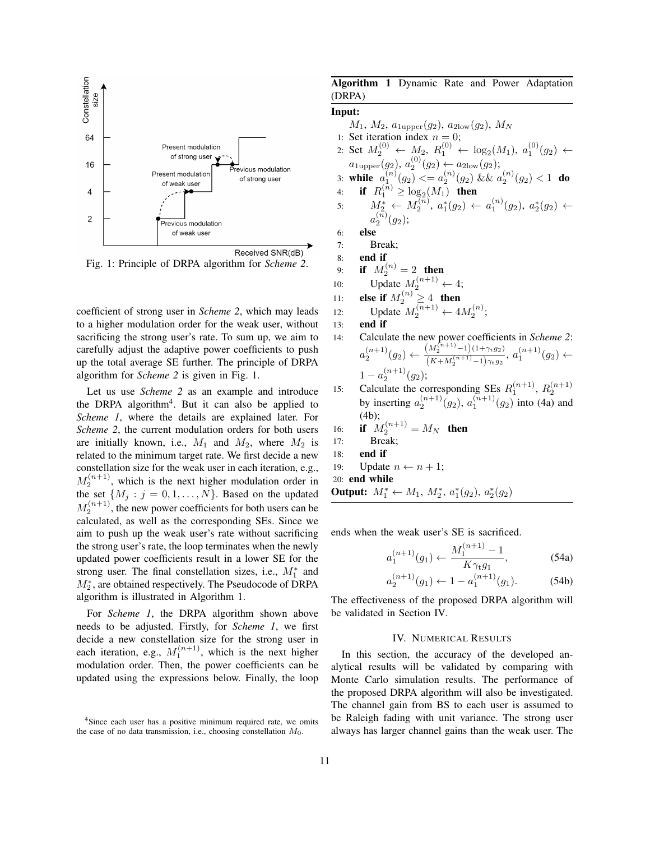

Fig. 1: Principle of DRPA algorithm for *Scheme 2*.

coefficient of strong user in *Scheme 2*, which may leads to a higher modulation order for the weak user, without sacrificing the strong user's rate. To sum up, we aim to carefully adjust the adaptive power coefficients to push up the total average SE further. The principle of DRPA algorithm for *Scheme 2* is given in Fig. 1.

Let us use *Scheme 2* as an example and introduce the DRPA algorithm<sup>4</sup>. But it can also be applied to *Scheme 1*, where the details are explained later. For *Scheme 2*, the current modulation orders for both users are initially known, i.e.,  $M_1$  and  $M_2$ , where  $M_2$  is related to the minimum target rate. We first decide a new constellation size for the weak user in each iteration, e.g.,  $M_2^{(n+1)}$ , which is the next higher modulation order in the set  $\{M_j : j = 0, 1, \ldots, N\}$ . Based on the updated  $M_2^{(n+1)}$ , the new power coefficients for both users can be calculated, as well as the corresponding SEs. Since we aim to push up the weak user's rate without sacrificing the strong user's rate, the loop terminates when the newly updated power coefficients result in a lower SE for the strong user. The final constellation sizes, i.e.,  $M_1^*$  and  $M_2^*$ , are obtained respectively. The Pseudocode of DRPA algorithm is illustrated in Algorithm 1.

For *Scheme 1*, the DRPA algorithm shown above needs to be adjusted. Firstly, for *Scheme 1*, we first decide a new constellation size for the strong user in each iteration, e.g.,  $M_1^{(n+1)}$ , which is the next higher modulation order. Then, the power coefficients can be updated using the expressions below. Finally, the loop

# Algorithm 1 Dynamic Rate and Power Adaptation (DRPA)

# Input:

 $M_1, M_2, a_{1 \text{upper}}(g_2), a_{2 \text{low}}(g_2), M_N$ 1: Set iteration index  $n = 0$ ; 2: Set  $M_2^{(0)} \leftarrow M_2$ ,  $R_1^{(0)} \leftarrow \log_2(M_1)$ ,  $a_1^{(0)}(g_2) \leftarrow$ 1  $a_{1 \text{upper}}(g_2), a_2^{(0)}(g_2) \leftarrow a_{2 \text{low}}(g_2);$ 3: while  $a_1^{(n)}(g_2) \leq a_2^{(n)}(g_2)$  &&  $a_2^{(n)}(g_2) < 1$  do 4: **if**  $R_1^{(\bar{n})} \ge \log_2(M_1)$  then  $M_2^* \leftarrow M_2^{(n)},\ a_1^*(g_2) \leftarrow a_1^{(n)}(g_2),\ a_2^*(g_2) \leftarrow$  $a_2^{(n)}(g_2);$ 6: else 7: Break; 8: end if 9: **if**  $M_2^{(n)} = 2$  then 10: Update  $M_2^{(n+1)} \leftarrow 4$ ; 11: **else if**  $M_2^{(n)} \geq 4$  then 12: Update  $M_2^{(n+1)} \leftarrow 4M_2^{(n)}$ ; 13: end if 14: Calculate the new power coefficients in *Scheme 2*:  $a_2^{(n+1)}(g_2) \leftarrow \frac{(M_2^{(n+1)}-1)(1+\gamma_{t}g_2)}{(K+M^{(n+1)}-1)\gamma_{t}g_2}$  $\frac{(M_2^{(n+1)}-1)(1+\gamma_t g_2)}{(K+M_2^{(n+1)}-1)\gamma_t g_2}, a_1^{(n+1)}(g_2) \leftarrow$  $1-a_2^{(n+1)}(g_2);$ 15: Calculate the corresponding SEs  $R_1^{(n+1)}$ ,  $R_2^{(n+1)}$ by inserting  $a_2^{(n+1)}(g_2)$ ,  $a_1^{(n+1)}(g_2)$  into (4a) and (4b); 16: **if**  $M_2^{(n+1)} = M_N$  then 17: Break; 18: end if 19: Update  $n \leftarrow n + 1$ ; 20: end while Output:  $M_1^* \leftarrow M_1, M_2^*, a_1^*(g_2), a_2^*(g_2)$ 

ends when the weak user's SE is sacrificed.

$$
a_1^{(n+1)}(g_1) \leftarrow \frac{M_1^{(n+1)} - 1}{K\gamma_t g_1}, \tag{54a}
$$

$$
a_2^{(n+1)}(g_1) \leftarrow 1 - a_1^{(n+1)}(g_1). \tag{54b}
$$

The effectiveness of the proposed DRPA algorithm will be validated in Section IV.

#### IV. NUMERICAL RESULTS

In this section, the accuracy of the developed analytical results will be validated by comparing with Monte Carlo simulation results. The performance of the proposed DRPA algorithm will also be investigated. The channel gain from BS to each user is assumed to be Raleigh fading with unit variance. The strong user always has larger channel gains than the weak user. The

<sup>4</sup>Since each user has a positive minimum required rate, we omits the case of no data transmission, i.e., choosing constellation  $M_0$ .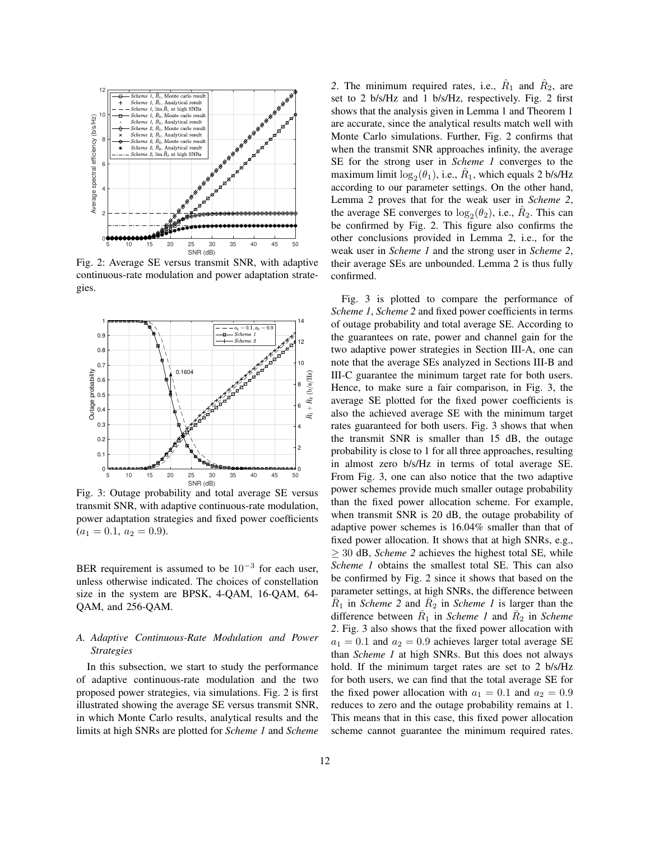

Fig. 2: Average SE versus transmit SNR, with adaptive continuous-rate modulation and power adaptation strategies.



Fig. 3: Outage probability and total average SE versus transmit SNR, with adaptive continuous-rate modulation, power adaptation strategies and fixed power coefficients  $(a_1 = 0.1, a_2 = 0.9).$ 

BER requirement is assumed to be  $10^{-3}$  for each user, unless otherwise indicated. The choices of constellation size in the system are BPSK, 4-QAM, 16-QAM, 64- QAM, and 256-QAM.

# *A. Adaptive Continuous-Rate Modulation and Power Strategies*

In this subsection, we start to study the performance of adaptive continuous-rate modulation and the two proposed power strategies, via simulations. Fig. 2 is first illustrated showing the average SE versus transmit SNR, in which Monte Carlo results, analytical results and the limits at high SNRs are plotted for *Scheme 1* and *Scheme*

2. The minimum required rates, i.e.,  $\hat{R}_1$  and  $\hat{R}_2$ , are set to 2 b/s/Hz and 1 b/s/Hz, respectively. Fig. 2 first shows that the analysis given in Lemma 1 and Theorem 1 are accurate, since the analytical results match well with Monte Carlo simulations. Further, Fig. 2 confirms that when the transmit SNR approaches infinity, the average SE for the strong user in *Scheme 1* converges to the maximum limit  $\log_2(\theta_1)$ , i.e.,  $\hat{R}_1$ , which equals 2 b/s/Hz according to our parameter settings. On the other hand, Lemma 2 proves that for the weak user in *Scheme 2*, the average SE converges to  $\log_2(\theta_2)$ , i.e.,  $\hat{R}_2$ . This can be confirmed by Fig. 2. This figure also confirms the other conclusions provided in Lemma 2, i.e., for the weak user in *Scheme 1* and the strong user in *Scheme 2*, their average SEs are unbounded. Lemma 2 is thus fully confirmed.

Fig. 3 is plotted to compare the performance of *Scheme 1*, *Scheme 2* and fixed power coefficients in terms of outage probability and total average SE. According to the guarantees on rate, power and channel gain for the two adaptive power strategies in Section III-A, one can note that the average SEs analyzed in Sections III-B and III-C guarantee the minimum target rate for both users. Hence, to make sure a fair comparison, in Fig. 3, the average SE plotted for the fixed power coefficients is also the achieved average SE with the minimum target rates guaranteed for both users. Fig. 3 shows that when the transmit SNR is smaller than 15 dB, the outage probability is close to 1 for all three approaches, resulting in almost zero b/s/Hz in terms of total average SE. From Fig. 3, one can also notice that the two adaptive power schemes provide much smaller outage probability than the fixed power allocation scheme. For example, when transmit SNR is 20 dB, the outage probability of adaptive power schemes is 16.04% smaller than that of fixed power allocation. It shows that at high SNRs, e.g.,  $\geq$  30 dB, *Scheme 2* achieves the highest total SE, while *Scheme 1* obtains the smallest total SE. This can also be confirmed by Fig. 2 since it shows that based on the parameter settings, at high SNRs, the difference between  $\overline{R}_1$  in *Scheme 2* and  $\overline{R}_2$  in *Scheme 1* is larger than the difference between  $\bar{R}_1$  in *Scheme 1* and  $\bar{R}_2$  in *Scheme 2*. Fig. 3 also shows that the fixed power allocation with  $a_1 = 0.1$  and  $a_2 = 0.9$  achieves larger total average SE than *Scheme 1* at high SNRs. But this does not always hold. If the minimum target rates are set to 2 b/s/Hz for both users, we can find that the total average SE for the fixed power allocation with  $a_1 = 0.1$  and  $a_2 = 0.9$ reduces to zero and the outage probability remains at 1. This means that in this case, this fixed power allocation scheme cannot guarantee the minimum required rates.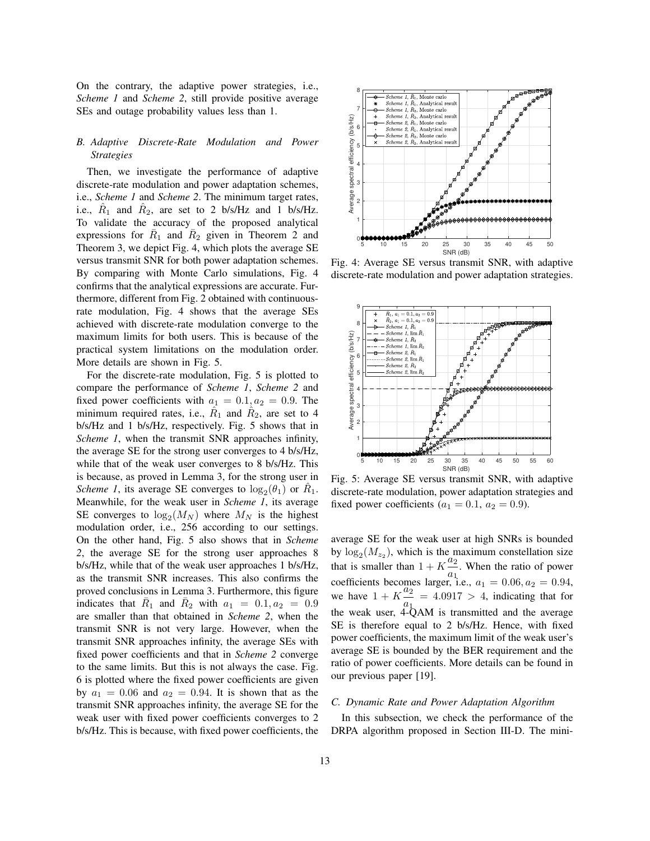On the contrary, the adaptive power strategies, i.e., *Scheme 1* and *Scheme 2*, still provide positive average SEs and outage probability values less than 1.

# *B. Adaptive Discrete-Rate Modulation and Power Strategies*

Then, we investigate the performance of adaptive discrete-rate modulation and power adaptation schemes, i.e., *Scheme 1* and *Scheme 2*. The minimum target rates, i.e.,  $\hat{R}_1$  and  $\hat{R}_2$ , are set to 2 b/s/Hz and 1 b/s/Hz. To validate the accuracy of the proposed analytical expressions for  $\overline{R}_1$  and  $\overline{R}_2$  given in Theorem 2 and Theorem 3, we depict Fig. 4, which plots the average SE versus transmit SNR for both power adaptation schemes. By comparing with Monte Carlo simulations, Fig. 4 confirms that the analytical expressions are accurate. Furthermore, different from Fig. 2 obtained with continuousrate modulation, Fig. 4 shows that the average SEs achieved with discrete-rate modulation converge to the maximum limits for both users. This is because of the practical system limitations on the modulation order. More details are shown in Fig. 5.

For the discrete-rate modulation, Fig. 5 is plotted to compare the performance of *Scheme 1*, *Scheme 2* and fixed power coefficients with  $a_1 = 0.1, a_2 = 0.9$ . The minimum required rates, i.e.,  $\hat{R}_1$  and  $\hat{R}_2$ , are set to 4 b/s/Hz and 1 b/s/Hz, respectively. Fig. 5 shows that in *Scheme 1*, when the transmit SNR approaches infinity, the average SE for the strong user converges to 4 b/s/Hz, while that of the weak user converges to 8 b/s/Hz. This is because, as proved in Lemma 3, for the strong user in *Scheme 1*, its average SE converges to  $\log_2(\theta_1)$  or  $\hat{R}_1$ . Meanwhile, for the weak user in *Scheme 1*, its average SE converges to  $\log_2(M_N)$  where  $M_N$  is the highest modulation order, i.e., 256 according to our settings. On the other hand, Fig. 5 also shows that in *Scheme 2*, the average SE for the strong user approaches 8 b/s/Hz, while that of the weak user approaches 1 b/s/Hz, as the transmit SNR increases. This also confirms the proved conclusions in Lemma 3. Furthermore, this figure indicates that  $\bar{R}_1$  and  $\bar{R}_2$  with  $a_1 = 0.1, a_2 = 0.9$ are smaller than that obtained in *Scheme 2*, when the transmit SNR is not very large. However, when the transmit SNR approaches infinity, the average SEs with fixed power coefficients and that in *Scheme 2* converge to the same limits. But this is not always the case. Fig. 6 is plotted where the fixed power coefficients are given by  $a_1 = 0.06$  and  $a_2 = 0.94$ . It is shown that as the transmit SNR approaches infinity, the average SE for the weak user with fixed power coefficients converges to 2 b/s/Hz. This is because, with fixed power coefficients, the



Fig. 4: Average SE versus transmit SNR, with adaptive discrete-rate modulation and power adaptation strategies.



Fig. 5: Average SE versus transmit SNR, with adaptive discrete-rate modulation, power adaptation strategies and fixed power coefficients ( $a_1 = 0.1$ ,  $a_2 = 0.9$ ).

average SE for the weak user at high SNRs is bounded by  $\log_2(M_{z_2})$ , which is the maximum constellation size that is smaller than  $1 + K \frac{a_2}{a_1}$  $\frac{a_2}{a_1}$ . When the ratio of power coefficients becomes larger, i.e.,  $a_1 = 0.06, a_2 = 0.94$ , we have  $1 + K \frac{a_2}{a_1} = 4.0917 > 4$ , indicating that for the weak user,  $4-\text{QAM}$  is transmitted and the average SE is therefore equal to 2 b/s/Hz. Hence, with fixed power coefficients, the maximum limit of the weak user's average SE is bounded by the BER requirement and the ratio of power coefficients. More details can be found in our previous paper [19].

# *C. Dynamic Rate and Power Adaptation Algorithm*

In this subsection, we check the performance of the DRPA algorithm proposed in Section III-D. The mini-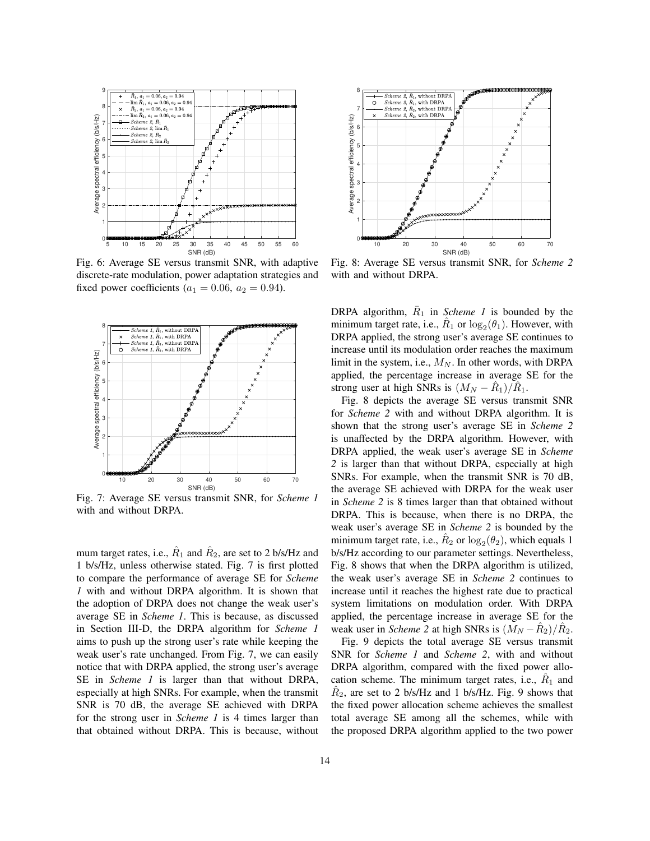

Fig. 6: Average SE versus transmit SNR, with adaptive discrete-rate modulation, power adaptation strategies and fixed power coefficients ( $a_1 = 0.06$ ,  $a_2 = 0.94$ ).



Fig. 7: Average SE versus transmit SNR, for *Scheme 1* with and without DRPA.

mum target rates, i.e.,  $\hat{R}_1$  and  $\hat{R}_2$ , are set to 2 b/s/Hz and 1 b/s/Hz, unless otherwise stated. Fig. 7 is first plotted to compare the performance of average SE for *Scheme 1* with and without DRPA algorithm. It is shown that the adoption of DRPA does not change the weak user's average SE in *Scheme 1*. This is because, as discussed in Section III-D, the DRPA algorithm for *Scheme 1* aims to push up the strong user's rate while keeping the weak user's rate unchanged. From Fig. 7, we can easily notice that with DRPA applied, the strong user's average SE in *Scheme 1* is larger than that without DRPA, especially at high SNRs. For example, when the transmit SNR is 70 dB, the average SE achieved with DRPA for the strong user in *Scheme 1* is 4 times larger than that obtained without DRPA. This is because, without



Fig. 8: Average SE versus transmit SNR, for *Scheme 2* with and without DRPA.

DRPA algorithm,  $\overline{R}_1$  in *Scheme 1* is bounded by the minimum target rate, i.e.,  $\hat{R}_1$  or  $\log_2(\theta_1)$ . However, with DRPA applied, the strong user's average SE continues to increase until its modulation order reaches the maximum limit in the system, i.e.,  $M_N$ . In other words, with DRPA applied, the percentage increase in average SE for the strong user at high SNRs is  $(M_N - \hat{R}_1)/\hat{R}_1$ .

Fig. 8 depicts the average SE versus transmit SNR for *Scheme 2* with and without DRPA algorithm. It is shown that the strong user's average SE in *Scheme 2* is unaffected by the DRPA algorithm. However, with DRPA applied, the weak user's average SE in *Scheme 2* is larger than that without DRPA, especially at high SNRs. For example, when the transmit SNR is 70 dB, the average SE achieved with DRPA for the weak user in *Scheme 2* is 8 times larger than that obtained without DRPA. This is because, when there is no DRPA, the weak user's average SE in *Scheme 2* is bounded by the minimum target rate, i.e.,  $\hat{R}_2$  or  $\log_2(\theta_2)$ , which equals 1 b/s/Hz according to our parameter settings. Nevertheless, Fig. 8 shows that when the DRPA algorithm is utilized, the weak user's average SE in *Scheme 2* continues to increase until it reaches the highest rate due to practical system limitations on modulation order. With DRPA applied, the percentage increase in average SE for the weak user in *Scheme* 2 at high SNRs is  $(M_N - \hat{R}_2)/\hat{R}_2$ .

Fig. 9 depicts the total average SE versus transmit SNR for *Scheme 1* and *Scheme 2*, with and without DRPA algorithm, compared with the fixed power allocation scheme. The minimum target rates, i.e.,  $\hat{R}_1$  and  $\hat{R}_2$ , are set to 2 b/s/Hz and 1 b/s/Hz. Fig. 9 shows that the fixed power allocation scheme achieves the smallest total average SE among all the schemes, while with the proposed DRPA algorithm applied to the two power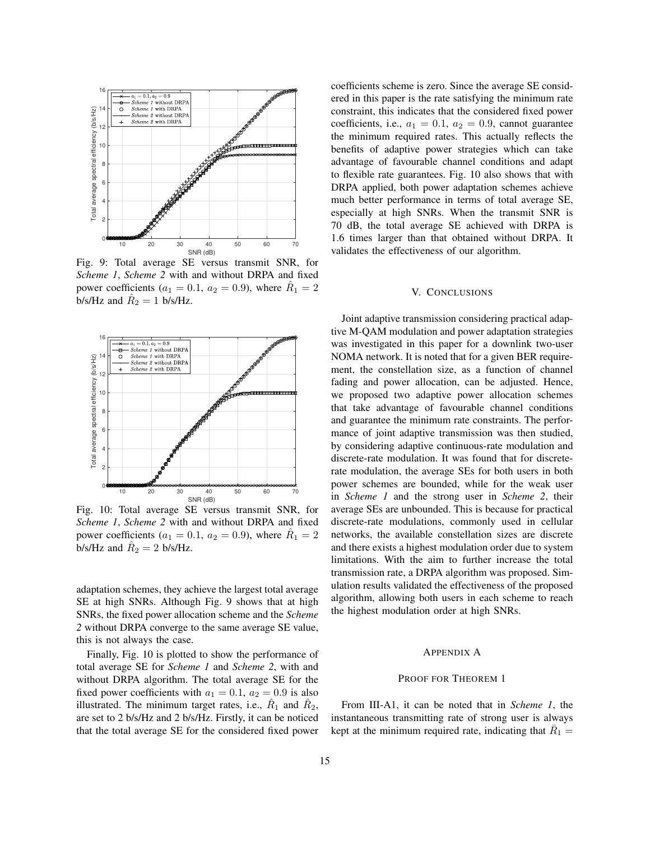

Fig. 9: Total average SE versus transmit SNR, for *Scheme 1*, *Scheme 2* with and without DRPA and fixed power coefficients ( $a_1 = 0.1$ ,  $a_2 = 0.9$ ), where  $\hat{R}_1 = 2$ b/s/Hz and  $\hat{R}_2 = 1$  b/s/Hz.



Fig. 10: Total average SE versus transmit SNR, for *Scheme 1*, *Scheme 2* with and without DRPA and fixed power coefficients ( $a_1 = 0.1$ ,  $a_2 = 0.9$ ), where  $\hat{R}_1 = 2$ b/s/Hz and  $\hat{R}_2 = 2$  b/s/Hz.

adaptation schemes, they achieve the largest total average SE at high SNRs. Although Fig. 9 shows that at high SNRs, the fixed power allocation scheme and the *Scheme 2* without DRPA converge to the same average SE value, this is not always the case.

Finally, Fig. 10 is plotted to show the performance of total average SE for *Scheme 1* and *Scheme 2*, with and without DRPA algorithm. The total average SE for the fixed power coefficients with  $a_1 = 0.1$ ,  $a_2 = 0.9$  is also illustrated. The minimum target rates, i.e.,  $\hat{R}_1$  and  $\hat{R}_2$ , are set to 2 b/s/Hz and 2 b/s/Hz. Firstly, it can be noticed that the total average SE for the considered fixed power

coefficients scheme is zero. Since the average SE considered in this paper is the rate satisfying the minimum rate constraint, this indicates that the considered fixed power coefficients, i.e.,  $a_1 = 0.1$ ,  $a_2 = 0.9$ , cannot guarantee the minimum required rates. This actually reflects the benefits of adaptive power strategies which can take advantage of favourable channel conditions and adapt to flexible rate guarantees. Fig. 10 also shows that with DRPA applied, both power adaptation schemes achieve much better performance in terms of total average SE, especially at high SNRs. When the transmit SNR is 70 dB, the total average SE achieved with DRPA is 1.6 times larger than that obtained without DRPA. It validates the effectiveness of our algorithm.

# V. CONCLUSIONS

Joint adaptive transmission considering practical adaptive M-QAM modulation and power adaptation strategies was investigated in this paper for a downlink two-user NOMA network. It is noted that for a given BER requirement, the constellation size, as a function of channel fading and power allocation, can be adjusted. Hence, we proposed two adaptive power allocation schemes that take advantage of favourable channel conditions and guarantee the minimum rate constraints. The performance of joint adaptive transmission was then studied, by considering adaptive continuous-rate modulation and discrete-rate modulation. It was found that for discreterate modulation, the average SEs for both users in both power schemes are bounded, while for the weak user in *Scheme 1* and the strong user in *Scheme 2*, their average SEs are unbounded. This is because for practical discrete-rate modulations, commonly used in cellular networks, the available constellation sizes are discrete and there exists a highest modulation order due to system limitations. With the aim to further increase the total transmission rate, a DRPA algorithm was proposed. Simulation results validated the effectiveness of the proposed algorithm, allowing both users in each scheme to reach the highest modulation order at high SNRs.

#### APPENDIX A

# PROOF FOR THEOREM 1

From III-A1, it can be noted that in *Scheme 1*, the instantaneous transmitting rate of strong user is always kept at the minimum required rate, indicating that  $\overline{R}_1 =$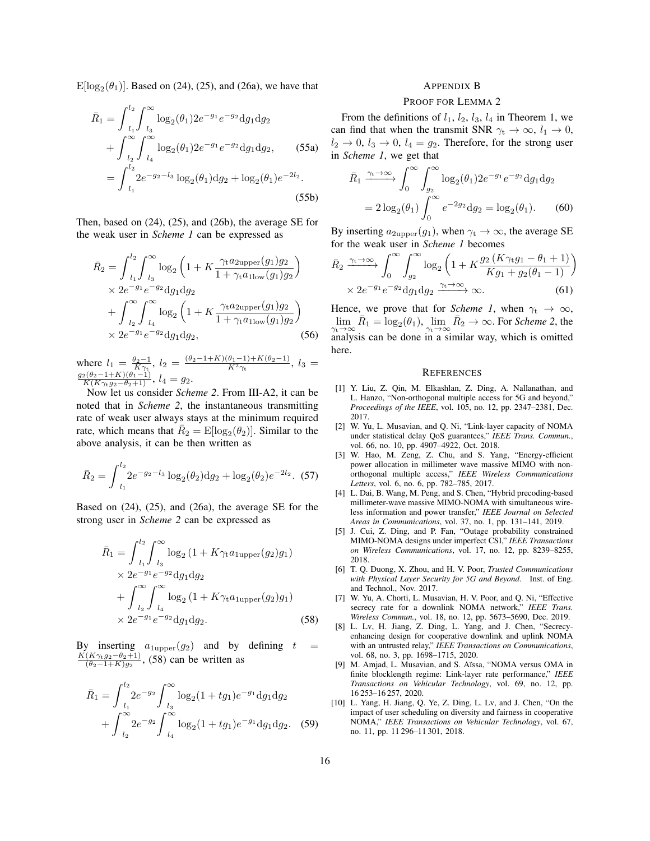$E[log_2(\theta_1)]$ . Based on (24), (25), and (26a), we have that

$$
\bar{R}_1 = \int_{l_1}^{l_2} \int_{l_3}^{\infty} \log_2(\theta_1) 2e^{-g_1} e^{-g_2} dg_1 dg_2 \n+ \int_{l_2}^{\infty} \int_{l_4}^{\infty} \log_2(\theta_1) 2e^{-g_1} e^{-g_2} dg_1 dg_2, \qquad (55a) \n= \int_{l_1}^{l_2} 2e^{-g_2-l_3} \log_2(\theta_1) dg_2 + \log_2(\theta_1) e^{-2l_2}.
$$
\n(55b)

Then, based on (24), (25), and (26b), the average SE for the weak user in *Scheme 1* can be expressed as

$$
\bar{R}_2 = \int_{l_1}^{l_2} \int_{l_3}^{\infty} \log_2 \left( 1 + K \frac{\gamma_t a_{2\text{upper}}(g_1) g_2}{1 + \gamma_t a_{1\text{low}}(g_1) g_2} \right) \times 2e^{-g_1} e^{-g_2} \text{d}g_1 \text{d}g_2\n+ \int_{l_2}^{\infty} \int_{l_4}^{\infty} \log_2 \left( 1 + K \frac{\gamma_t a_{2\text{upper}}(g_1) g_2}{1 + \gamma_t a_{1\text{low}}(g_1) g_2} \right) \times 2e^{-g_1} e^{-g_2} \text{d}g_1 \text{d}g_2,\n\tag{56}
$$

where  $l_1 = \frac{\theta_2 - 1}{K\gamma_t}$ ,  $l_2 = \frac{(\theta_2 - 1 + K)(\theta_1 - 1) + K(\theta_2 - 1)}{K^2\gamma_t}$ ,  $l_3 =$  $\frac{g_2(\theta_2-1+K)(\theta_1-1)}{K(K\gamma_tg_2-\theta_2+1)}, l_4=g_2.$ 

Now let us consider *Scheme 2*. From III-A2, it can be noted that in *Scheme 2*, the instantaneous transmitting rate of weak user always stays at the minimum required rate, which means that  $\overline{R}_2 = \text{E}[\log_2(\theta_2)]$ . Similar to the above analysis, it can be then written as

$$
\bar{R}_2 = \int_{l_1}^{l_2} 2e^{-g_2 - l_3} \log_2(\theta_2) \mathrm{d}g_2 + \log_2(\theta_2) e^{-2l_2}.
$$
 (57)

Based on (24), (25), and (26a), the average SE for the strong user in *Scheme 2* can be expressed as

$$
\bar{R}_1 = \int_{l_1}^{l_2} \int_{l_3}^{\infty} \log_2 (1 + K \gamma_t a_{1 \text{upper}}(g_2) g_1) \times 2e^{-g_1} e^{-g_2} dg_1 dg_2 \n+ \int_{l_2}^{\infty} \int_{l_4}^{\infty} \log_2 (1 + K \gamma_t a_{1 \text{upper}}(g_2) g_1) \times 2e^{-g_1} e^{-g_2} dg_1 dg_2.
$$
\n(58)

By inserting  $a_{1 \text{upper}}(g_2)$  and by defining  $t =$  $K(K\gamma_t g_2-\theta_2+1)$  $\frac{(K\gamma_1 g_2 - \theta_2 + 1)}{(\theta_2 - 1 + K)g_2}$ , (58) can be written as

$$
\bar{R}_1 = \int_{l_1}^{l_2} 2e^{-g_2} \int_{l_3}^{\infty} \log_2(1 + tg_1)e^{-g_1} \, dg_1 \, dg_2
$$

$$
+ \int_{l_2}^{\infty} 2e^{-g_2} \int_{l_4}^{\infty} \log_2(1 + tg_1)e^{-g_1} \, dg_1 \, dg_2. \tag{59}
$$

## APPENDIX B

## PROOF FOR LEMMA 2

From the definitions of  $l_1$ ,  $l_2$ ,  $l_3$ ,  $l_4$  in Theorem 1, we can find that when the transmit SNR  $\gamma_t \to \infty$ ,  $l_1 \to 0$ ,  $l_2 \rightarrow 0$ ,  $l_3 \rightarrow 0$ ,  $l_4 = g_2$ . Therefore, for the strong user in *Scheme 1*, we get that

$$
\bar{R}_1 \xrightarrow{\gamma_t \to \infty} \int_0^\infty \int_{g_2}^\infty \log_2(\theta_1) 2e^{-g_1} e^{-g_2} dg_1 dg_2
$$

$$
= 2 \log_2(\theta_1) \int_0^\infty e^{-2g_2} dg_2 = \log_2(\theta_1). \tag{60}
$$

By inserting  $a_{2\text{upper}}(g_1)$ , when  $\gamma_t \to \infty$ , the average SE for the weak user in *Scheme 1* becomes

$$
\bar{R}_2 \xrightarrow{\gamma_t \to \infty} \int_0^{\infty} \int_{g_2}^{\infty} \log_2 \left( 1 + K \frac{g_2 (K \gamma_t g_1 - \theta_1 + 1)}{K g_1 + g_2 (\theta_1 - 1)} \right) \times 2e^{-g_1} e^{-g_2} \mathrm{d}g_1 \mathrm{d}g_2 \xrightarrow{\gamma_t \to \infty} \infty.
$$
\n(61)

Hence, we prove that for *Scheme 1*, when  $\gamma_t \to \infty$ ,  $\lim_{\gamma_t \to \infty} \bar{R}_1 = \log_2(\theta_1), \lim_{\gamma_t \to \infty} \bar{R}_2 \to \infty$ . For *Scheme 2*, the analysis can be done in a similar way, which is omitted here.

#### **REFERENCES**

- [1] Y. Liu, Z. Qin, M. Elkashlan, Z. Ding, A. Nallanathan, and L. Hanzo, "Non-orthogonal multiple access for 5G and beyond," *Proceedings of the IEEE*, vol. 105, no. 12, pp. 2347–2381, Dec. 2017.
- [2] W. Yu, L. Musavian, and Q. Ni, "Link-layer capacity of NOMA under statistical delay QoS guarantees," *IEEE Trans. Commun.*, vol. 66, no. 10, pp. 4907–4922, Oct. 2018.
- [3] W. Hao, M. Zeng, Z. Chu, and S. Yang, "Energy-efficient power allocation in millimeter wave massive MIMO with nonorthogonal multiple access," *IEEE Wireless Communications Letters*, vol. 6, no. 6, pp. 782–785, 2017.
- [4] L. Dai, B. Wang, M. Peng, and S. Chen, "Hybrid precoding-based millimeter-wave massive MIMO-NOMA with simultaneous wireless information and power transfer," *IEEE Journal on Selected Areas in Communications*, vol. 37, no. 1, pp. 131–141, 2019.
- [5] J. Cui, Z. Ding, and P. Fan, "Outage probability constrained MIMO-NOMA designs under imperfect CSI," *IEEE Transactions on Wireless Communications*, vol. 17, no. 12, pp. 8239–8255, 2018.
- [6] T. Q. Duong, X. Zhou, and H. V. Poor, *Trusted Communications with Physical Layer Security for 5G and Beyond*. Inst. of Eng. and Technol., Nov. 2017.
- [7] W. Yu, A. Chorti, L. Musavian, H. V. Poor, and Q. Ni, "Effective secrecy rate for a downlink NOMA network," *IEEE Trans. Wireless Commun.*, vol. 18, no. 12, pp. 5673–5690, Dec. 2019.
- [8] L. Lv, H. Jiang, Z. Ding, L. Yang, and J. Chen, "Secrecyenhancing design for cooperative downlink and uplink NOMA with an untrusted relay," *IEEE Transactions on Communications*, vol. 68, no. 3, pp. 1698–1715, 2020.
- [9] M. Amjad, L. Musavian, and S. Aïssa, "NOMA versus OMA in finite blocklength regime: Link-layer rate performance," *IEEE Transactions on Vehicular Technology*, vol. 69, no. 12, pp. 16 253–16 257, 2020.
- [10] L. Yang, H. Jiang, Q. Ye, Z. Ding, L. Lv, and J. Chen, "On the impact of user scheduling on diversity and fairness in cooperative NOMA," *IEEE Transactions on Vehicular Technology*, vol. 67, no. 11, pp. 11 296–11 301, 2018.